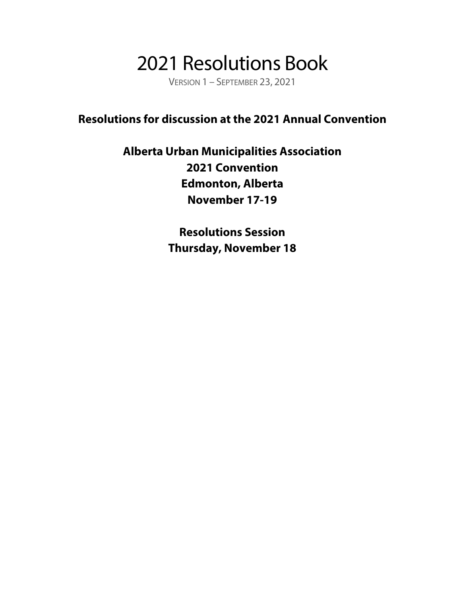## 2021 Resolutions Book

VERSION 1 – SEPTEMBER 23, 2021

#### **Resolutions for discussion at the 2021 Annual Convention**

#### **Alberta Urban Municipalities Association 2021 Convention Edmonton, Alberta November 17-19**

**Resolutions Session Thursday, November 18**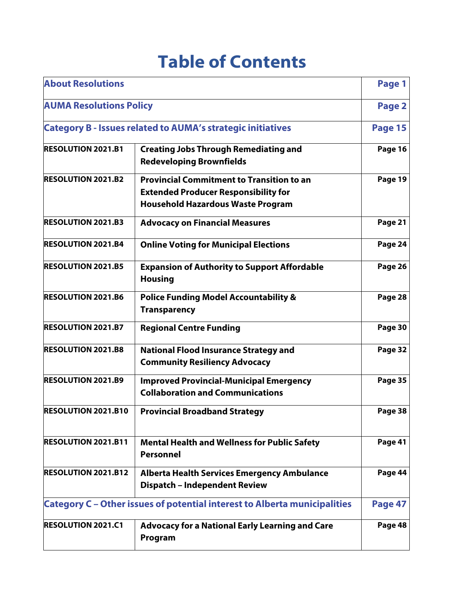### **Table of Contents**

| <b>About Resolutions</b>                                                                           |                                                                                                                                             |         |  |  |  |
|----------------------------------------------------------------------------------------------------|---------------------------------------------------------------------------------------------------------------------------------------------|---------|--|--|--|
| <b>AUMA Resolutions Policy</b>                                                                     |                                                                                                                                             | Page 2  |  |  |  |
|                                                                                                    | <b>Category B - Issues related to AUMA's strategic initiatives</b>                                                                          | Page 15 |  |  |  |
| <b>RESOLUTION 2021.B1</b>                                                                          | <b>Creating Jobs Through Remediating and</b><br><b>Redeveloping Brownfields</b>                                                             | Page 16 |  |  |  |
| <b>RESOLUTION 2021.B2</b>                                                                          | <b>Provincial Commitment to Transition to an</b><br><b>Extended Producer Responsibility for</b><br><b>Household Hazardous Waste Program</b> | Page 19 |  |  |  |
| <b>RESOLUTION 2021.B3</b>                                                                          | <b>Advocacy on Financial Measures</b>                                                                                                       | Page 21 |  |  |  |
| <b>RESOLUTION 2021.B4</b>                                                                          | <b>Online Voting for Municipal Elections</b>                                                                                                |         |  |  |  |
| <b>RESOLUTION 2021.B5</b><br><b>Expansion of Authority to Support Affordable</b><br><b>Housing</b> |                                                                                                                                             |         |  |  |  |
| <b>RESOLUTION 2021.B6</b>                                                                          | Page 28                                                                                                                                     |         |  |  |  |
| <b>RESOLUTION 2021.B7</b>                                                                          | Page 30                                                                                                                                     |         |  |  |  |
| <b>RESOLUTION 2021.B8</b>                                                                          | <b>National Flood Insurance Strategy and</b><br><b>Community Resiliency Advocacy</b>                                                        |         |  |  |  |
| <b>RESOLUTION 2021.B9</b>                                                                          | Page 35                                                                                                                                     |         |  |  |  |
| <b>RESOLUTION 2021.B10</b>                                                                         | <b>Provincial Broadband Strategy</b>                                                                                                        |         |  |  |  |
| <b>RESOLUTION 2021.B11</b>                                                                         | <b>Mental Health and Wellness for Public Safety</b><br><b>Personnel</b>                                                                     |         |  |  |  |
| <b>RESOLUTION 2021.B12</b>                                                                         | <b>Alberta Health Services Emergency Ambulance</b><br><b>Dispatch - Independent Review</b>                                                  |         |  |  |  |
| <b>Category C</b> – Other issues of potential interest to Alberta municipalities                   |                                                                                                                                             |         |  |  |  |
| <b>RESOLUTION 2021.C1</b>                                                                          | <b>Advocacy for a National Early Learning and Care</b><br>Program                                                                           | Page 48 |  |  |  |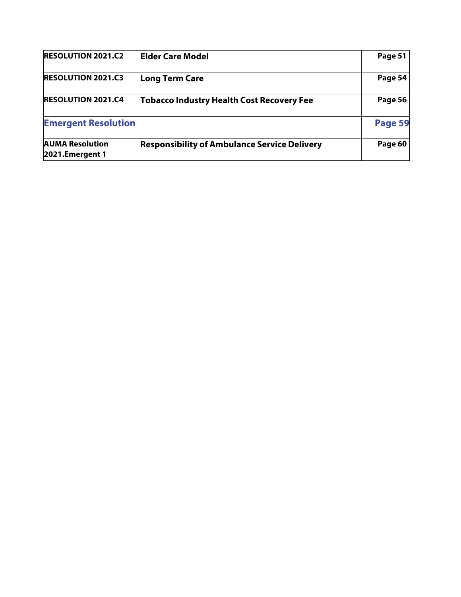| <b>RESOLUTION 2021.C2</b>                 | Page 51                                             |         |
|-------------------------------------------|-----------------------------------------------------|---------|
| <b>RESOLUTION 2021.C3</b>                 | <b>Long Term Care</b>                               | Page 54 |
| <b>RESOLUTION 2021.C4</b>                 | <b>Page 56</b>                                      |         |
| <b>Emergent Resolution</b>                |                                                     | Page 59 |
| <b>AUMA Resolution</b><br>2021.Emergent 1 | <b>Responsibility of Ambulance Service Delivery</b> | Page 60 |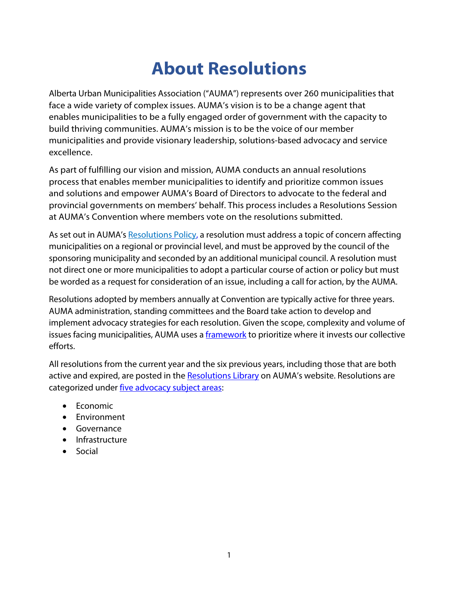### **About Resolutions**

Alberta Urban Municipalities Association ("AUMA") represents over 260 municipalities that face a wide variety of complex issues. AUMA's vision is to be a change agent that enables municipalities to be a fully engaged order of government with the capacity to build thriving communities. AUMA's mission is to be the voice of our member municipalities and provide visionary leadership, solutions-based advocacy and service excellence.

As part of fulfilling our vision and mission, AUMA conducts an annual resolutions process that enables member municipalities to identify and prioritize common issues and solutions and empower AUMA's Board of Directors to advocate to the federal and provincial governments on members' behalf. This process includes a Resolutions Session at AUMA's Convention where members vote on the resolutions submitted.

As set out in AUMA's Resolutions Policy, a resolution must address a topic of concern affecting municipalities on a regional or provincial level, and must be approved by the council of the sponsoring municipality and seconded by an additional municipal council. A resolution must not direct one or more municipalities to adopt a particular course of action or policy but must be worded as a request for consideration of an issue, including a call for action, by the AUMA.

Resolutions adopted by members annually at Convention are typically active for three years. AUMA administration, standing committees and the Board take action to develop and implement advocacy strategies for each resolution. Given the scope, complexity and volume of issues facing municipalities, AUMA uses a framework to prioritize where it invests our collective efforts.

All resolutions from the current year and the six previous years, including those that are both active and expired, are posted in the **Resolutions Library** on AUMA's website. Resolutions are categorized under five advocacy subject areas:

- Economic
- Environment
- Governance
- Infrastructure
- Social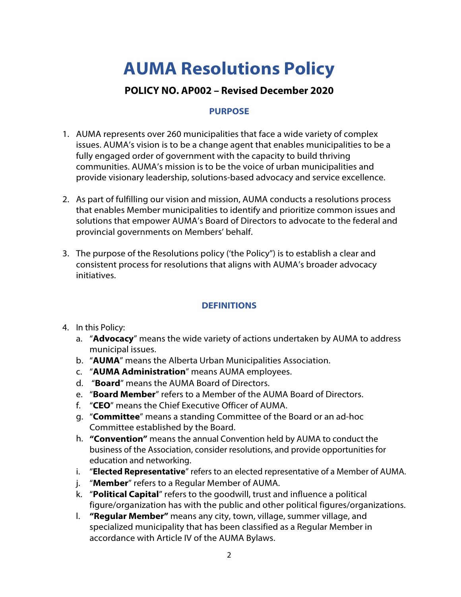## **AUMA Resolutions Policy**

#### **POLICY NO. AP002 – Revised December 2020**

#### **PURPOSE**

- 1. AUMA represents over 260 municipalities that face a wide variety of complex issues. AUMA's vision is to be a change agent that enables municipalities to be a fully engaged order of government with the capacity to build thriving communities. AUMA's mission is to be the voice of urban municipalities and provide visionary leadership, solutions-based advocacy and service excellence.
- 2. As part of fulfilling our vision and mission, AUMA conducts a resolutions process that enables Member municipalities to identify and prioritize common issues and solutions that empower AUMA's Board of Directors to advocate to the federal and provincial governments on Members' behalf.
- 3. The purpose of the Resolutions policy ('the Policy") is to establish a clear and consistent process for resolutions that aligns with AUMA's broader advocacy initiatives.

#### **DEFINITIONS**

- 4. In this Policy:
	- a. "**Advocacy**" means the wide variety of actions undertaken by AUMA to address municipal issues.
	- b. "**AUMA**" means the Alberta Urban Municipalities Association.
	- c. "**AUMA Administration**" means AUMA employees.
	- d. "**Board**" means the AUMA Board of Directors.
	- e. "**Board Member**" refers to a Member of the AUMA Board of Directors.
	- f. "**CEO**" means the Chief Executive Officer of AUMA.
	- g. "**Committee**" means a standing Committee of the Board or an ad-hoc Committee established by the Board.
	- h. **"Convention"** means the annual Convention held by AUMA to conduct the business of the Association, consider resolutions, and provide opportunities for education and networking.
	- i. "**Elected Representative**" refers to an elected representative of a Member of AUMA.
	- j. "**Member**" refers to a Regular Member of AUMA.
	- k. "**Political Capital**" refers to the goodwill, trust and influence a political figure/organization has with the public and other political figures/organizations.
	- l. **"Regular Member"** means any city, town, village, summer village, and specialized municipality that has been classified as a Regular Member in accordance with Article IV of the AUMA Bylaws.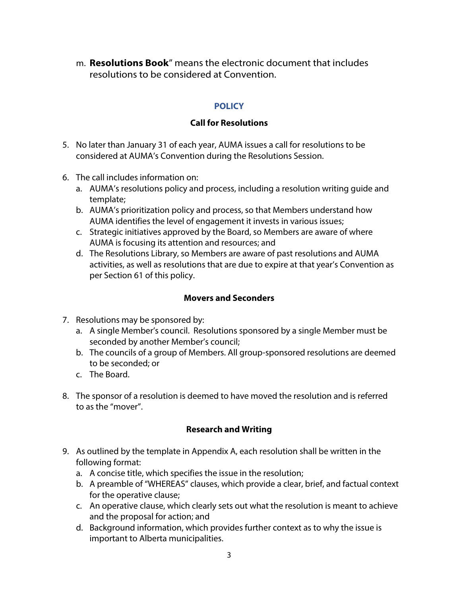m. **Resolutions Book**" means the electronic document that includes resolutions to be considered at Convention.

#### **POLICY**

#### **Call for Resolutions**

- 5. No later than January 31 of each year, AUMA issues a call for resolutions to be considered at AUMA's Convention during the Resolutions Session.
- 6. The call includes information on:
	- a. AUMA's resolutions policy and process, including a resolution writing guide and template;
	- b. AUMA's prioritization policy and process, so that Members understand how AUMA identifies the level of engagement it invests in various issues;
	- c. Strategic initiatives approved by the Board, so Members are aware of where AUMA is focusing its attention and resources; and
	- d. The Resolutions Library, so Members are aware of past resolutions and AUMA activities, as well as resolutions that are due to expire at that year's Convention as per Section 61 of this policy.

#### **Movers and Seconders**

- 7. Resolutions may be sponsored by:
	- a. A single Member's council. Resolutions sponsored by a single Member must be seconded by another Member's council;
	- b. The councils of a group of Members. All group-sponsored resolutions are deemed to be seconded; or
	- c. The Board.
- 8. The sponsor of a resolution is deemed to have moved the resolution and is referred to as the "mover".

#### **Research and Writing**

- 9. As outlined by the template in Appendix A, each resolution shall be written in the following format:
	- a. A concise title, which specifies the issue in the resolution;
	- b. A preamble of "WHEREAS" clauses, which provide a clear, brief, and factual context for the operative clause;
	- c. An operative clause, which clearly sets out what the resolution is meant to achieve and the proposal for action; and
	- d. Background information, which provides further context as to why the issue is important to Alberta municipalities.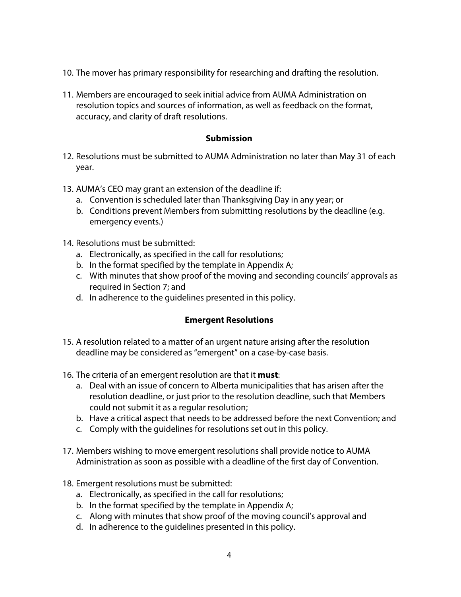- 10. The mover has primary responsibility for researching and drafting the resolution.
- 11. Members are encouraged to seek initial advice from AUMA Administration on resolution topics and sources of information, as well as feedback on the format, accuracy, and clarity of draft resolutions.

#### **Submission**

- 12. Resolutions must be submitted to AUMA Administration no later than May 31 of each year.
- 13. AUMA's CEO may grant an extension of the deadline if:
	- a. Convention is scheduled later than Thanksgiving Day in any year; or
	- b. Conditions prevent Members from submitting resolutions by the deadline (e.g. emergency events.)
- 14. Resolutions must be submitted:
	- a. Electronically, as specified in the call for resolutions;
	- b. In the format specified by the template in Appendix A;
	- c. With minutes that show proof of the moving and seconding councils' approvals as required in Section 7; and
	- d. In adherence to the guidelines presented in this policy.

#### **Emergent Resolutions**

- 15. A resolution related to a matter of an urgent nature arising after the resolution deadline may be considered as "emergent" on a case-by-case basis.
- 16. The criteria of an emergent resolution are that it **must**:
	- a. Deal with an issue of concern to Alberta municipalities that has arisen after the resolution deadline, or just prior to the resolution deadline, such that Members could not submit it as a regular resolution;
	- b. Have a critical aspect that needs to be addressed before the next Convention; and
	- c. Comply with the guidelines for resolutions set out in this policy.
- 17. Members wishing to move emergent resolutions shall provide notice to AUMA Administration as soon as possible with a deadline of the first day of Convention.
- 18. Emergent resolutions must be submitted:
	- a. Electronically, as specified in the call for resolutions;
	- b. In the format specified by the template in Appendix A;
	- c. Along with minutes that show proof of the moving council's approval and
	- d. In adherence to the guidelines presented in this policy.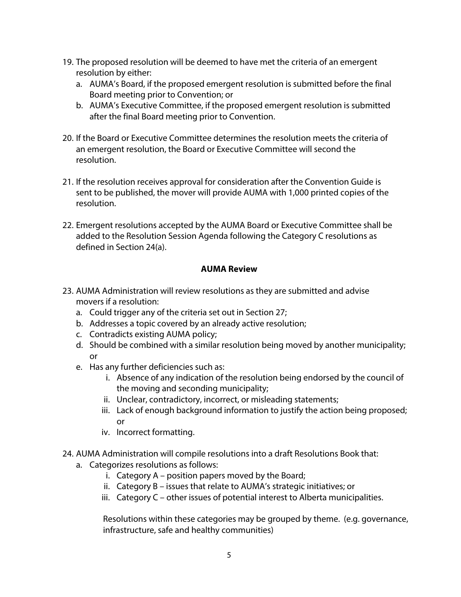- 19. The proposed resolution will be deemed to have met the criteria of an emergent resolution by either:
	- a. AUMA's Board, if the proposed emergent resolution is submitted before the final Board meeting prior to Convention; or
	- b. AUMA's Executive Committee, if the proposed emergent resolution is submitted after the final Board meeting prior to Convention.
- 20. If the Board or Executive Committee determines the resolution meets the criteria of an emergent resolution, the Board or Executive Committee will second the resolution.
- 21. If the resolution receives approval for consideration after the Convention Guide is sent to be published, the mover will provide AUMA with 1,000 printed copies of the resolution.
- 22. Emergent resolutions accepted by the AUMA Board or Executive Committee shall be added to the Resolution Session Agenda following the Category C resolutions as defined in Section 24(a).

#### **AUMA Review**

- 23. AUMA Administration will review resolutions as they are submitted and advise movers if a resolution:
	- a. Could trigger any of the criteria set out in Section 27;
	- b. Addresses a topic covered by an already active resolution;
	- c. Contradicts existing AUMA policy;
	- d. Should be combined with a similar resolution being moved by another municipality; or
	- e. Has any further deficiencies such as:
		- i. Absence of any indication of the resolution being endorsed by the council of the moving and seconding municipality;
		- ii. Unclear, contradictory, incorrect, or misleading statements;
		- iii. Lack of enough background information to justify the action being proposed; or
		- iv. Incorrect formatting.
- 24. AUMA Administration will compile resolutions into a draft Resolutions Book that:
	- a. Categorizes resolutions as follows:
		- i. Category A position papers moved by the Board;
		- ii. Category B issues that relate to AUMA's strategic initiatives; or
		- iii. Category C other issues of potential interest to Alberta municipalities.

Resolutions within these categories may be grouped by theme. (e.g. governance, infrastructure, safe and healthy communities)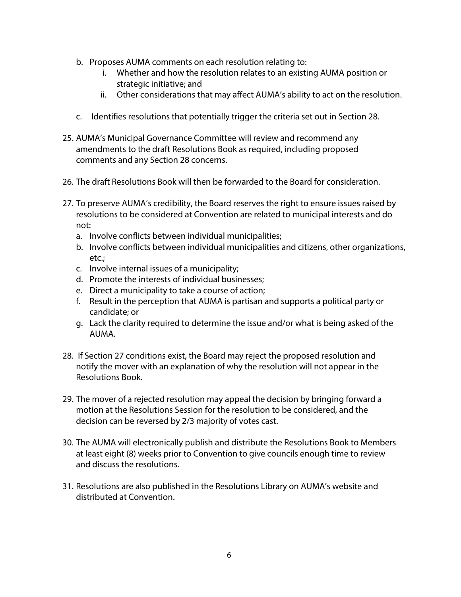- b. Proposes AUMA comments on each resolution relating to:
	- i. Whether and how the resolution relates to an existing AUMA position or strategic initiative; and
	- ii. Other considerations that may affect AUMA's ability to act on the resolution.
- c. Identifies resolutions that potentially trigger the criteria set out in Section 28.
- 25. AUMA's Municipal Governance Committee will review and recommend any amendments to the draft Resolutions Book as required, including proposed comments and any Section 28 concerns.
- 26. The draft Resolutions Book will then be forwarded to the Board for consideration.
- 27. To preserve AUMA's credibility, the Board reserves the right to ensure issues raised by resolutions to be considered at Convention are related to municipal interests and do not:
	- a. Involve conflicts between individual municipalities;
	- b. Involve conflicts between individual municipalities and citizens, other organizations, etc.;
	- c. Involve internal issues of a municipality;
	- d. Promote the interests of individual businesses;
	- e. Direct a municipality to take a course of action;
	- f. Result in the perception that AUMA is partisan and supports a political party or candidate; or
	- g. Lack the clarity required to determine the issue and/or what is being asked of the AUMA.
- 28. If Section 27 conditions exist, the Board may reject the proposed resolution and notify the mover with an explanation of why the resolution will not appear in the Resolutions Book.
- 29. The mover of a rejected resolution may appeal the decision by bringing forward a motion at the Resolutions Session for the resolution to be considered, and the decision can be reversed by 2/3 majority of votes cast.
- 30. The AUMA will electronically publish and distribute the Resolutions Book to Members at least eight (8) weeks prior to Convention to give councils enough time to review and discuss the resolutions.
- 31. Resolutions are also published in the Resolutions Library on AUMA's website and distributed at Convention.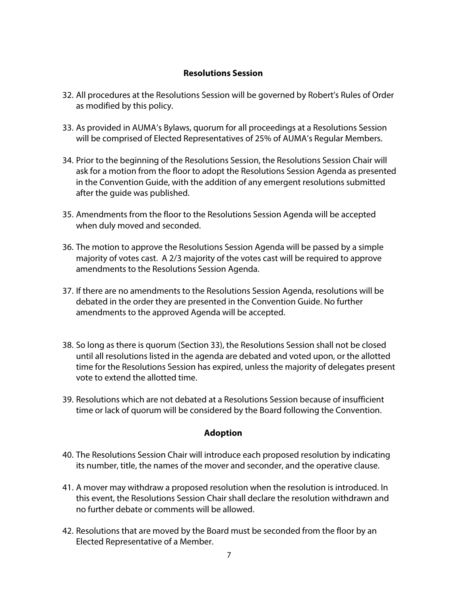#### **Resolutions Session**

- 32. All procedures at the Resolutions Session will be governed by Robert's Rules of Order as modified by this policy.
- 33. As provided in AUMA's Bylaws, quorum for all proceedings at a Resolutions Session will be comprised of Elected Representatives of 25% of AUMA's Regular Members.
- 34. Prior to the beginning of the Resolutions Session, the Resolutions Session Chair will ask for a motion from the floor to adopt the Resolutions Session Agenda as presented in the Convention Guide, with the addition of any emergent resolutions submitted after the guide was published.
- 35. Amendments from the floor to the Resolutions Session Agenda will be accepted when duly moved and seconded.
- 36. The motion to approve the Resolutions Session Agenda will be passed by a simple majority of votes cast. A 2/3 majority of the votes cast will be required to approve amendments to the Resolutions Session Agenda.
- 37. If there are no amendments to the Resolutions Session Agenda, resolutions will be debated in the order they are presented in the Convention Guide. No further amendments to the approved Agenda will be accepted.
- 38. So long as there is quorum (Section 33), the Resolutions Session shall not be closed until all resolutions listed in the agenda are debated and voted upon, or the allotted time for the Resolutions Session has expired, unless the majority of delegates present vote to extend the allotted time.
- 39. Resolutions which are not debated at a Resolutions Session because of insufficient time or lack of quorum will be considered by the Board following the Convention.

#### **Adoption**

- 40. The Resolutions Session Chair will introduce each proposed resolution by indicating its number, title, the names of the mover and seconder, and the operative clause.
- 41. A mover may withdraw a proposed resolution when the resolution is introduced. In this event, the Resolutions Session Chair shall declare the resolution withdrawn and no further debate or comments will be allowed.
- 42. Resolutions that are moved by the Board must be seconded from the floor by an Elected Representative of a Member.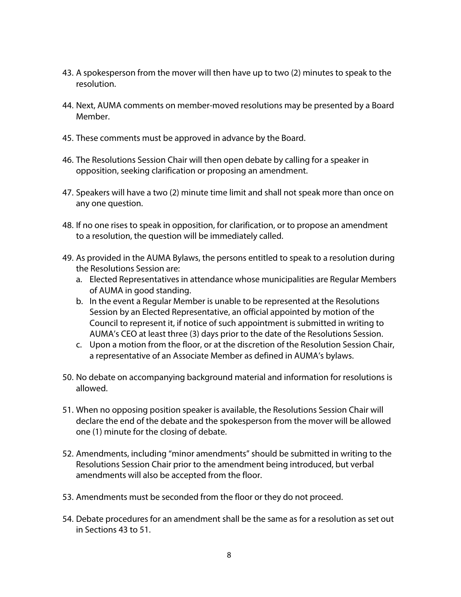- 43. A spokesperson from the mover will then have up to two (2) minutes to speak to the resolution.
- 44. Next, AUMA comments on member-moved resolutions may be presented by a Board Member.
- 45. These comments must be approved in advance by the Board.
- 46. The Resolutions Session Chair will then open debate by calling for a speaker in opposition, seeking clarification or proposing an amendment.
- 47. Speakers will have a two (2) minute time limit and shall not speak more than once on any one question.
- 48. If no one rises to speak in opposition, for clarification, or to propose an amendment to a resolution, the question will be immediately called.
- 49. As provided in the AUMA Bylaws, the persons entitled to speak to a resolution during the Resolutions Session are:
	- a. Elected Representatives in attendance whose municipalities are Regular Members of AUMA in good standing.
	- b. In the event a Regular Member is unable to be represented at the Resolutions Session by an Elected Representative, an official appointed by motion of the Council to represent it, if notice of such appointment is submitted in writing to AUMA's CEO at least three (3) days prior to the date of the Resolutions Session.
	- c. Upon a motion from the floor, or at the discretion of the Resolution Session Chair, a representative of an Associate Member as defined in AUMA's bylaws.
- 50. No debate on accompanying background material and information for resolutions is allowed.
- 51. When no opposing position speaker is available, the Resolutions Session Chair will declare the end of the debate and the spokesperson from the mover will be allowed one (1) minute for the closing of debate.
- 52. Amendments, including "minor amendments" should be submitted in writing to the Resolutions Session Chair prior to the amendment being introduced, but verbal amendments will also be accepted from the floor.
- 53. Amendments must be seconded from the floor or they do not proceed.
- 54. Debate procedures for an amendment shall be the same as for a resolution as set out in Sections 43 to 51.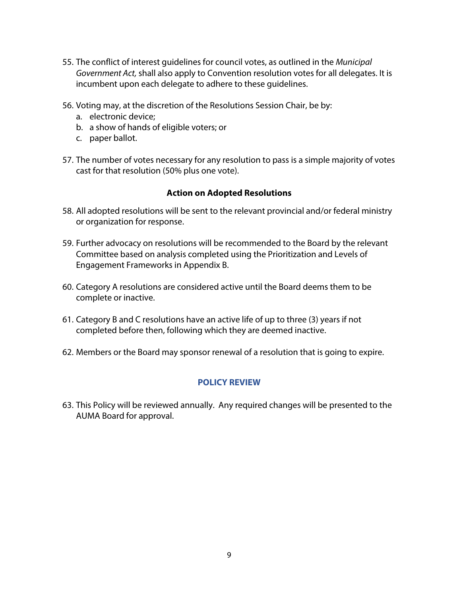- 55. The conflict of interest guidelines for council votes, as outlined in the Municipal Government Act, shall also apply to Convention resolution votes for all delegates. It is incumbent upon each delegate to adhere to these guidelines.
- 56. Voting may, at the discretion of the Resolutions Session Chair, be by:
	- a. electronic device;
	- b. a show of hands of eligible voters; or
	- c. paper ballot.
- 57. The number of votes necessary for any resolution to pass is a simple majority of votes cast for that resolution (50% plus one vote).

#### **Action on Adopted Resolutions**

- 58. All adopted resolutions will be sent to the relevant provincial and/or federal ministry or organization for response.
- 59. Further advocacy on resolutions will be recommended to the Board by the relevant Committee based on analysis completed using the Prioritization and Levels of Engagement Frameworks in Appendix B.
- 60. Category A resolutions are considered active until the Board deems them to be complete or inactive.
- 61. Category B and C resolutions have an active life of up to three (3) years if not completed before then, following which they are deemed inactive.
- 62. Members or the Board may sponsor renewal of a resolution that is going to expire.

#### **POLICY REVIEW**

63. This Policy will be reviewed annually. Any required changes will be presented to the AUMA Board for approval.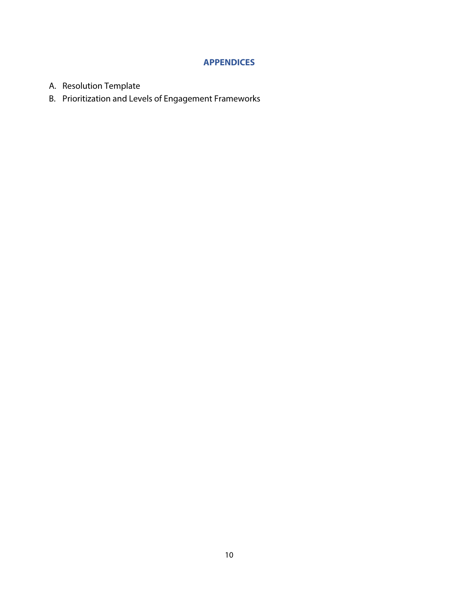#### **APPENDICES**

- A. Resolution Template
- B. Prioritization and Levels of Engagement Frameworks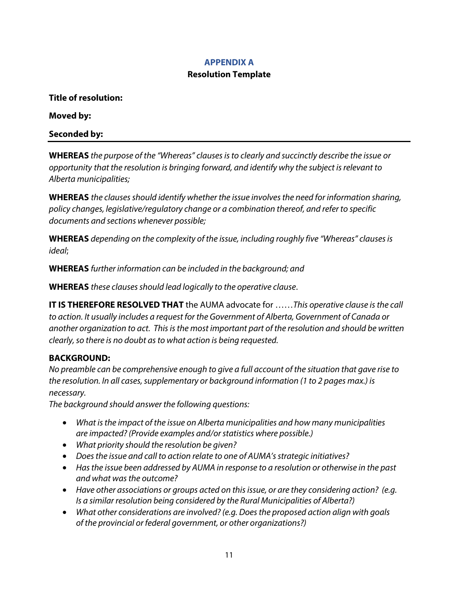#### **APPENDIX A**

#### **Resolution Template**

**Title of resolution:** 

**Moved by:** 

**Seconded by:** 

**WHEREAS** the purpose of the "Whereas" clauses is to clearly and succinctly describe the issue or opportunity that the resolution is bringing forward, and identify why the subject is relevant to Alberta municipalities;

**WHEREAS** the clauses should identify whether the issue involves the need for information sharing, policy changes, legislative/regulatory change or a combination thereof, and refer to specific documents and sections whenever possible;

**WHEREAS** depending on the complexity of the issue, including roughly five "Whereas" clauses is ideal;

**WHEREAS** further information can be included in the background; and

**WHEREAS** these clauses should lead logically to the operative clause.

**IT IS THEREFORE RESOLVED THAT** the AUMA advocate for ……This operative clause is the call to action. It usually includes a request for the Government of Alberta, Government of Canada or another organization to act. This is the most important part of the resolution and should be written clearly, so there is no doubt as to what action is being requested.

#### **BACKGROUND:**

No preamble can be comprehensive enough to give a full account of the situation that gave rise to the resolution. In all cases, supplementary or background information (1 to 2 pages max.) is necessary.

The background should answer the following questions:

- What is the impact of the issue on Alberta municipalities and how many municipalities are impacted? (Provide examples and/or statistics where possible.)
- What priority should the resolution be given?
- Does the issue and call to action relate to one of AUMA's strategic initiatives?
- Has the issue been addressed by AUMA in response to a resolution or otherwise in the past and what was the outcome?
- Have other associations or groups acted on this issue, or are they considering action? (e.g. Is a similar resolution being considered by the Rural Municipalities of Alberta?)
- What other considerations are involved? (e.g. Does the proposed action align with goals of the provincial or federal government, or other organizations?)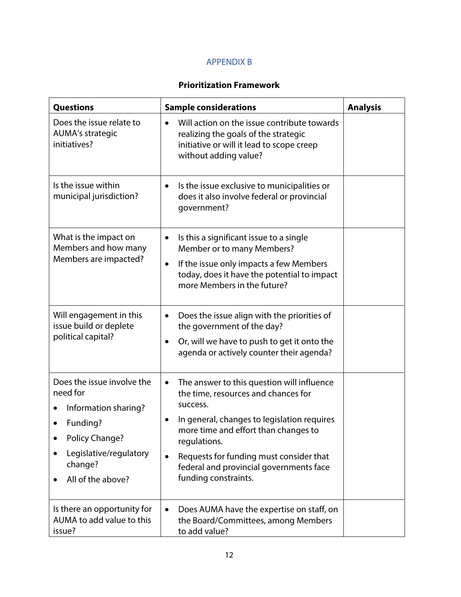#### APPENDIX B

#### **Prioritization Framework**

| <b>Questions</b>                                                                                                                                       | <b>Sample considerations</b>                                                                                                                                                                                                                                                                                            | <b>Analysis</b> |
|--------------------------------------------------------------------------------------------------------------------------------------------------------|-------------------------------------------------------------------------------------------------------------------------------------------------------------------------------------------------------------------------------------------------------------------------------------------------------------------------|-----------------|
| Does the issue relate to<br><b>AUMA's strategic</b><br>initiatives?                                                                                    | Will action on the issue contribute towards<br>realizing the goals of the strategic<br>initiative or will it lead to scope creep<br>without adding value?                                                                                                                                                               |                 |
| Is the issue within<br>municipal jurisdiction?                                                                                                         | Is the issue exclusive to municipalities or<br>$\bullet$<br>does it also involve federal or provincial<br>government?                                                                                                                                                                                                   |                 |
| What is the impact on<br>Members and how many<br>Members are impacted?                                                                                 | Is this a significant issue to a single<br>٠<br>Member or to many Members?<br>If the issue only impacts a few Members<br>$\bullet$<br>today, does it have the potential to impact<br>more Members in the future?                                                                                                        |                 |
| Will engagement in this<br>issue build or deplete<br>political capital?                                                                                | Does the issue align with the priorities of<br>$\bullet$<br>the government of the day?<br>Or, will we have to push to get it onto the<br>agenda or actively counter their agenda?                                                                                                                                       |                 |
| Does the issue involve the<br>need for<br>Information sharing?<br>Funding?<br>Policy Change?<br>Legislative/regulatory<br>change?<br>All of the above? | The answer to this question will influence<br>٠<br>the time, resources and chances for<br>success.<br>In general, changes to legislation requires<br>more time and effort than changes to<br>regulations.<br>Requests for funding must consider that<br>federal and provincial governments face<br>funding constraints. |                 |
| Is there an opportunity for<br>AUMA to add value to this<br>issue?                                                                                     | Does AUMA have the expertise on staff, on<br>the Board/Committees, among Members<br>to add value?                                                                                                                                                                                                                       |                 |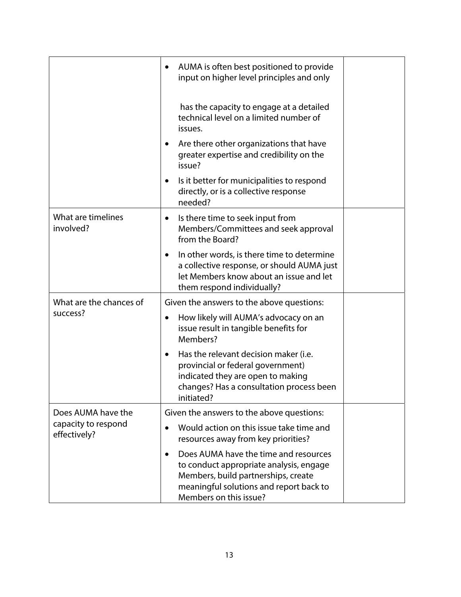|                                     | AUMA is often best positioned to provide<br>$\bullet$<br>input on higher level principles and only                                                                                                        |  |
|-------------------------------------|-----------------------------------------------------------------------------------------------------------------------------------------------------------------------------------------------------------|--|
|                                     | has the capacity to engage at a detailed<br>technical level on a limited number of<br>issues.                                                                                                             |  |
|                                     | Are there other organizations that have<br>greater expertise and credibility on the<br>issue?                                                                                                             |  |
|                                     | Is it better for municipalities to respond<br>٠<br>directly, or is a collective response<br>needed?                                                                                                       |  |
| What are timelines<br>involved?     | Is there time to seek input from<br>$\bullet$<br>Members/Committees and seek approval<br>from the Board?                                                                                                  |  |
|                                     | In other words, is there time to determine<br>a collective response, or should AUMA just<br>let Members know about an issue and let<br>them respond individually?                                         |  |
| What are the chances of             | Given the answers to the above questions:                                                                                                                                                                 |  |
| success?                            | How likely will AUMA's advocacy on an<br>٠<br>issue result in tangible benefits for<br>Members?                                                                                                           |  |
|                                     | Has the relevant decision maker (i.e.<br>$\bullet$<br>provincial or federal government)<br>indicated they are open to making<br>changes? Has a consultation process been<br>initiated?                    |  |
| Does AUMA have the                  | Given the answers to the above questions:                                                                                                                                                                 |  |
| capacity to respond<br>effectively? | Would action on this issue take time and<br>resources away from key priorities?                                                                                                                           |  |
|                                     | Does AUMA have the time and resources<br>$\bullet$<br>to conduct appropriate analysis, engage<br>Members, build partnerships, create<br>meaningful solutions and report back to<br>Members on this issue? |  |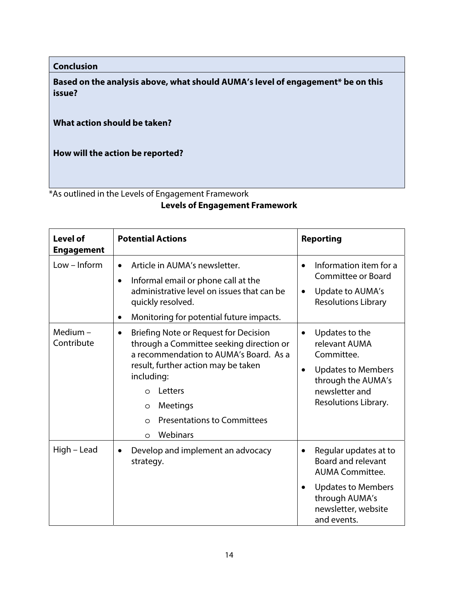**Conclusion** 

**Based on the analysis above, what should AUMA's level of engagement\* be on this issue?** 

**What action should be taken?** 

**How will the action be reported?** 

\*As outlined in the Levels of Engagement Framework

#### **Levels of Engagement Framework**

| <b>Level of</b><br><b>Engagement</b> | <b>Potential Actions</b>                                                                                                                                                                                                                                                                                                   | <b>Reporting</b>                                                                                                                                                                            |  |  |
|--------------------------------------|----------------------------------------------------------------------------------------------------------------------------------------------------------------------------------------------------------------------------------------------------------------------------------------------------------------------------|---------------------------------------------------------------------------------------------------------------------------------------------------------------------------------------------|--|--|
| $Low - Inform$                       | Article in AUMA's newsletter.<br>$\bullet$<br>Informal email or phone call at the<br>$\bullet$<br>administrative level on issues that can be<br>quickly resolved.<br>Monitoring for potential future impacts.<br>$\bullet$                                                                                                 | Information item for a<br>Committee or Board<br>Update to AUMA's<br>$\bullet$<br><b>Resolutions Library</b>                                                                                 |  |  |
| Medium $-$<br>Contribute             | <b>Briefing Note or Request for Decision</b><br>$\bullet$<br>through a Committee seeking direction or<br>a recommendation to AUMA's Board. As a<br>result, further action may be taken<br>including:<br>Letters<br>$\Omega$<br>Meetings<br>$\circ$<br><b>Presentations to Committees</b><br>$\circ$<br>Webinars<br>$\circ$ | Updates to the<br>$\bullet$<br>relevant AUMA<br>Committee.<br><b>Updates to Members</b><br>$\bullet$<br>through the AUMA's<br>newsletter and<br>Resolutions Library.                        |  |  |
| High - Lead                          | Develop and implement an advocacy<br>$\bullet$<br>strategy.                                                                                                                                                                                                                                                                | Regular updates at to<br>$\bullet$<br><b>Board and relevant</b><br><b>AUMA Committee.</b><br><b>Updates to Members</b><br>$\bullet$<br>through AUMA's<br>newsletter, website<br>and events. |  |  |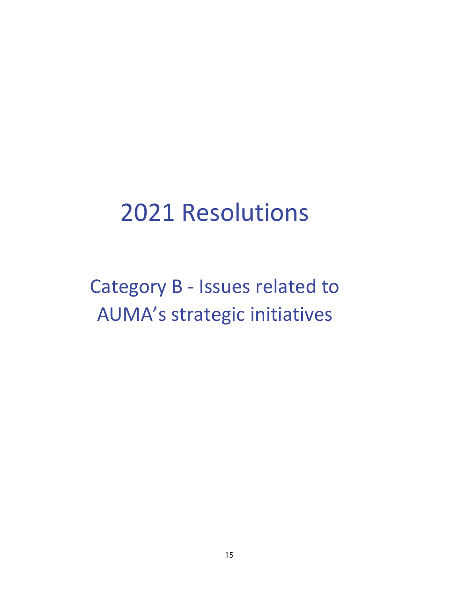## 2021 Resolutions

Category B - Issues related to AUMA's strategic initiatives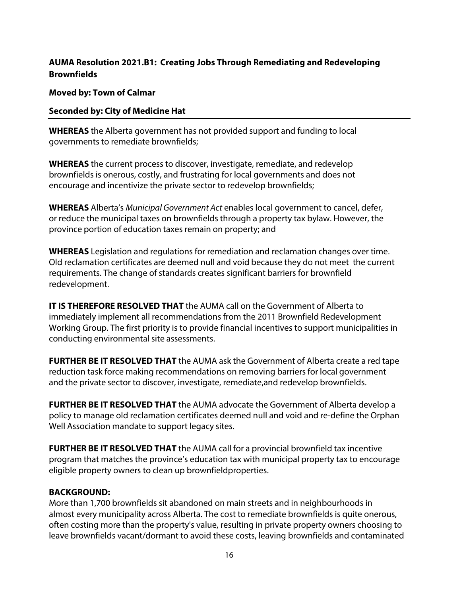#### **AUMA Resolution 2021.B1: Creating Jobs Through Remediating and Redeveloping Brownfields**

**Moved by: Town of Calmar** 

#### **Seconded by: City of Medicine Hat**

**WHEREAS** the Alberta government has not provided support and funding to local governments to remediate brownfields;

**WHEREAS** the current process to discover, investigate, remediate, and redevelop brownfields is onerous, costly, and frustrating for local governments and does not encourage and incentivize the private sector to redevelop brownfields;

**WHEREAS** Alberta's Municipal Government Act enables local government to cancel, defer, or reduce the municipal taxes on brownfields through a property tax bylaw. However, the province portion of education taxes remain on property; and

**WHEREAS** Legislation and regulations for remediation and reclamation changes over time. Old reclamation certificates are deemed null and void because they do not meet the current requirements. The change of standards creates significant barriers for brownfield redevelopment.

**IT IS THEREFORE RESOLVED THAT** the AUMA call on the Government of Alberta to immediately implement all recommendations from the 2011 Brownfield Redevelopment Working Group. The first priority is to provide financial incentives to support municipalities in conducting environmental site assessments.

**FURTHER BE IT RESOLVED THAT** the AUMA ask the Government of Alberta create a red tape reduction task force making recommendations on removing barriers for local government and the private sector to discover, investigate, remediate, and redevelop brownfields.

**FURTHER BE IT RESOLVED THAT** the AUMA advocate the Government of Alberta develop a policy to manage old reclamation certificates deemed null and void and re-define the Orphan Well Association mandate to support legacy sites.

**FURTHER BE IT RESOLVED THAT** the AUMA call for a provincial brownfield tax incentive program that matches the province's education tax with municipal property tax to encourage eligible property owners to clean up brownfield properties.

#### **BACKGROUND:**

More than 1,700 brownfields sit abandoned on main streets and in neighbourhoods in almost every municipality across Alberta. The cost to remediate brownfields is quite onerous, often costing more than the property's value, resulting in private property owners choosing to leave brownfields vacant/dormant to avoid these costs, leaving brownfields and contaminated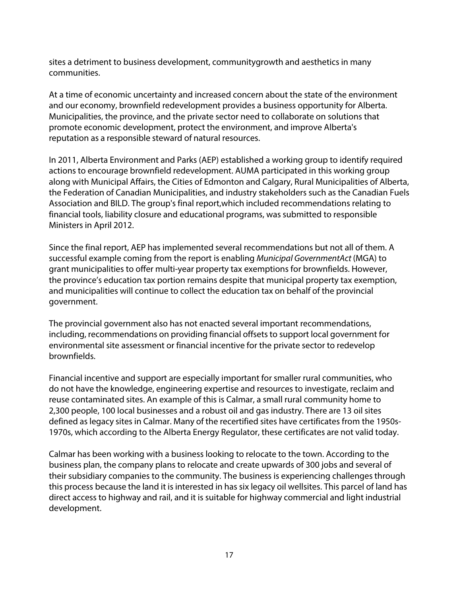sites a detriment to business development, community growth and aesthetics in many communities.

At a time of economic uncertainty and increased concern about the state of the environment and our economy, brownfield redevelopment provides a business opportunity for Alberta. Municipalities, the province, and the private sector need to collaborate on solutions that promote economic development, protect the environment, and improve Alberta's reputation as a responsible steward of natural resources.

In 2011, Alberta Environment and Parks (AEP) established a working group to identify required actions to encourage brownfield redevelopment. AUMA participated in this working group along with Municipal Affairs, the Cities of Edmonton and Calgary, Rural Municipalities of Alberta, the Federation of Canadian Municipalities, and industry stakeholders such as the Canadian Fuels Association and BILD. The group's final report, which included recommendations relating to financial tools, liability closure and educational programs, was submitted to responsible Ministers in April 2012.

Since the final report, AEP has implemented several recommendations but not all of them. A successful example coming from the report is enabling *Municipal Government Act* (MGA) to grant municipalities to offer multi-year property tax exemptions for brownfields. However, the province's education tax portion remains despite that municipal property tax exemption, and municipalities will continue to collect the education tax on behalf of the provincial government.

The provincial government also has not enacted several important recommendations, including, recommendations on providing financial offsets to support local government for environmental site assessment or financial incentive for the private sector to redevelop brownfields.

Financial incentive and support are especially important for smaller rural communities, who do not have the knowledge, engineering expertise and resources to investigate, reclaim and reuse contaminated sites. An example of this is Calmar, a small rural community home to 2,300 people, 100 local businesses and a robust oil and gas industry. There are 13 oil sites defined as legacy sites in Calmar. Many of the recertified sites have certificates from the 1950s-1970s, which according to the Alberta Energy Regulator, these certificates are not valid today.

Calmar has been working with a business looking to relocate to the town. According to the business plan, the company plans to relocate and create upwards of 300 jobs and several of their subsidiary companies to the community. The business is experiencing challenges through this process because the land it is interested in has six legacy oil wellsites. This parcel of land has direct access to highway and rail, and it is suitable for highway commercial and light industrial development.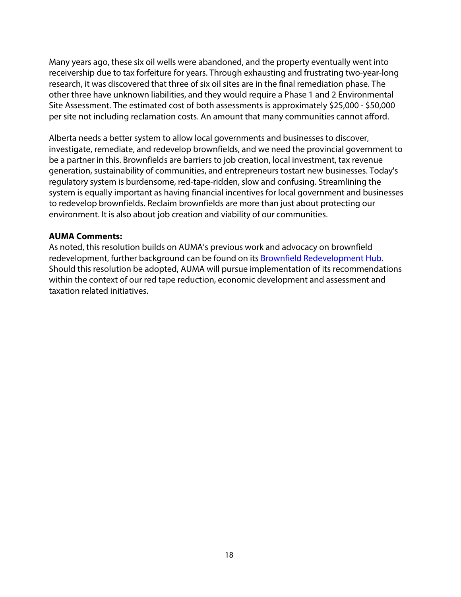Many years ago, these six oil wells were abandoned, and the property eventually went into receivership due to tax forfeiture for years. Through exhausting and frustrating two-year-long research, it was discovered that three of six oil sites are in the final remediation phase. The other three have unknown liabilities, and they would require a Phase 1 and 2 Environmental Site Assessment. The estimated cost of both assessments is approximately \$25,000 - \$50,000 per site not including reclamation costs. An amount that many communities cannot afford.

Alberta needs a better system to allow local governments and businesses to discover, investigate, remediate, and redevelop brownfields, and we need the provincial government to be a partner in this. Brownfields are barriers to job creation, local investment, tax revenue generation, sustainability of communities, and entrepreneurs to start new businesses. Today's regulatory system is burdensome, red-tape-ridden, slow and confusing. Streamlining the system is equally important as having financial incentives for local government and businesses to redevelop brownfields. Reclaim brownfields are more than just about protecting our environment. It is also about job creation and viability of our communities.

#### **AUMA Comments:**

As noted, this resolution builds on AUMA's previous work and advocacy on brownfield redevelopment, further background can be found on its Brownfield Redevelopment Hub. Should this resolution be adopted, AUMA will pursue implementation of its recommendations within the context of our red tape reduction, economic development and assessment and taxation related initiatives.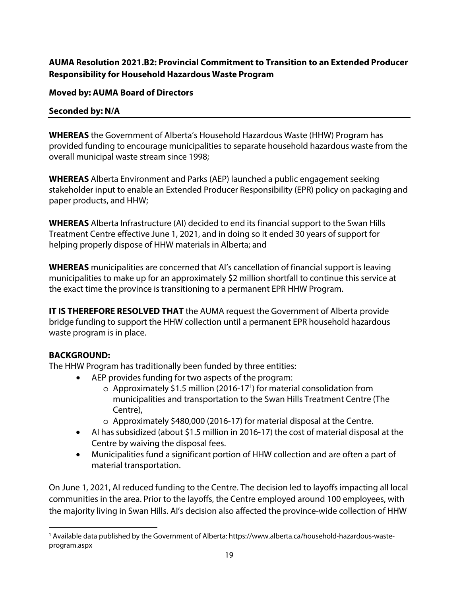#### **AUMA Resolution 2021.B2: Provincial Commitment to Transition to an Extended Producer Responsibility for Household Hazardous Waste Program**

#### **Moved by: AUMA Board of Directors**

#### **Seconded by: N/A**

**WHEREAS** the Government of Alberta's Household Hazardous Waste (HHW) Program has provided funding to encourage municipalities to separate household hazardous waste from the overall municipal waste stream since 1998;

**WHEREAS** Alberta Environment and Parks (AEP) launched a public engagement seeking stakeholder input to enable an Extended Producer Responsibility (EPR) policy on packaging and paper products, and HHW;

**WHEREAS** Alberta Infrastructure (AI) decided to end its financial support to the Swan Hills Treatment Centre effective June 1, 2021, and in doing so it ended 30 years of support for helping properly dispose of HHW materials in Alberta; and

**WHEREAS** municipalities are concerned that AI's cancellation of financial support is leaving municipalities to make up for an approximately \$2 million shortfall to continue this service at the exact time the province is transitioning to a permanent EPR HHW Program.

**IT IS THEREFORE RESOLVED THAT** the AUMA request the Government of Alberta provide bridge funding to support the HHW collection until a permanent EPR household hazardous waste program is in place.

#### **BACKGROUND:**

The HHW Program has traditionally been funded by three entities:

- AEP provides funding for two aspects of the program:
	- o Approximately \$1.5 million (2016-171 ) for material consolidation from municipalities and transportation to the Swan Hills Treatment Centre (The Centre),
	- o Approximately \$480,000 (2016-17) for material disposal at the Centre.
- AI has subsidized (about \$1.5 million in 2016-17) the cost of material disposal at the Centre by waiving the disposal fees.
- Municipalities fund a significant portion of HHW collection and are often a part of material transportation.

On June 1, 2021, AI reduced funding to the Centre. The decision led to layoffs impacting all local communities in the area. Prior to the layoffs, the Centre employed around 100 employees, with the majority living in Swan Hills. AI's decision also affected the province-wide collection of HHW

<sup>1</sup> Available data published by the Government of Alberta: https://www.alberta.ca/household-hazardous-wasteprogram.aspx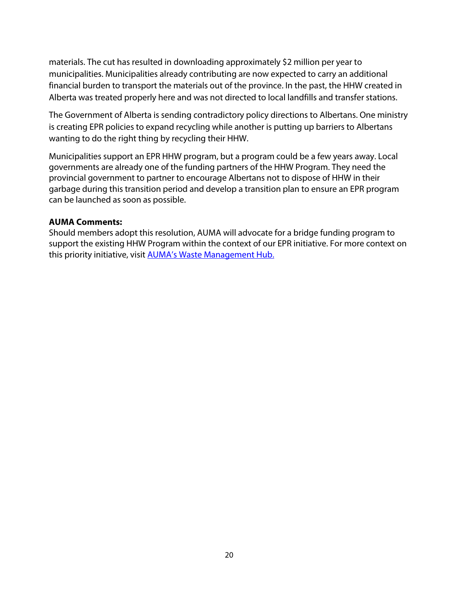materials. The cut has resulted in downloading approximately \$2 million per year to municipalities. Municipalities already contributing are now expected to carry an additional financial burden to transport the materials out of the province. In the past, the HHW created in Alberta was treated properly here and was not directed to local landfills and transfer stations.

The Government of Alberta is sending contradictory policy directions to Albertans. One ministry is creating EPR policies to expand recycling while another is putting up barriers to Albertans wanting to do the right thing by recycling their HHW.

Municipalities support an EPR HHW program, but a program could be a few years away. Local governments are already one of the funding partners of the HHW Program. They need the provincial government to partner to encourage Albertans not to dispose of HHW in their garbage during this transition period and develop a transition plan to ensure an EPR program can be launched as soon as possible.

#### **AUMA Comments:**

Should members adopt this resolution, AUMA will advocate for a bridge funding program to support the existing HHW Program within the context of our EPR initiative. For more context on this priority initiative, visit **AUMA's Waste Management Hub.**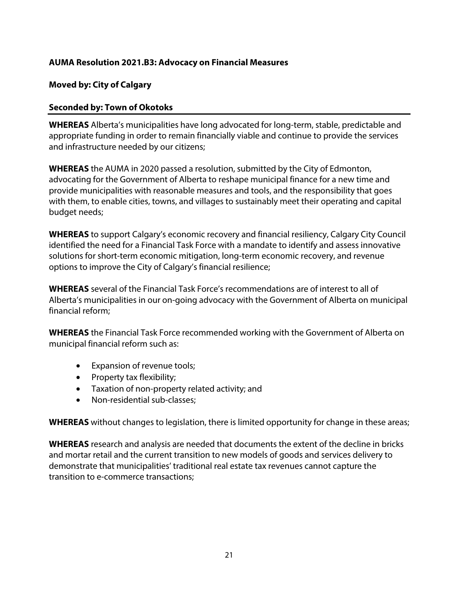#### **AUMA Resolution 2021.B3: Advocacy on Financial Measures**

#### **Moved by: City of Calgary**

#### **Seconded by: Town of Okotoks**

**WHEREAS** Alberta's municipalities have long advocated for long-term, stable, predictable and appropriate funding in order to remain financially viable and continue to provide the services and infrastructure needed by our citizens;

**WHEREAS** the AUMA in 2020 passed a resolution, submitted by the City of Edmonton, advocating for the Government of Alberta to reshape municipal finance for a new time and provide municipalities with reasonable measures and tools, and the responsibility that goes with them, to enable cities, towns, and villages to sustainably meet their operating and capital budget needs;

**WHEREAS** to support Calgary's economic recovery and financial resiliency, Calgary City Council identified the need for a Financial Task Force with a mandate to identify and assess innovative solutions for short-term economic mitigation, long-term economic recovery, and revenue options to improve the City of Calgary's financial resilience;

**WHEREAS** several of the Financial Task Force's recommendations are of interest to all of Alberta's municipalities in our on-going advocacy with the Government of Alberta on municipal financial reform;

**WHEREAS** the Financial Task Force recommended working with the Government of Alberta on municipal financial reform such as:

- Expansion of revenue tools;
- Property tax flexibility;
- Taxation of non-property related activity; and
- Non-residential sub-classes;

**WHEREAS** without changes to legislation, there is limited opportunity for change in these areas;

**WHEREAS** research and analysis are needed that documents the extent of the decline in bricks and mortar retail and the current transition to new models of goods and services delivery to demonstrate that municipalities' traditional real estate tax revenues cannot capture the transition to e-commerce transactions;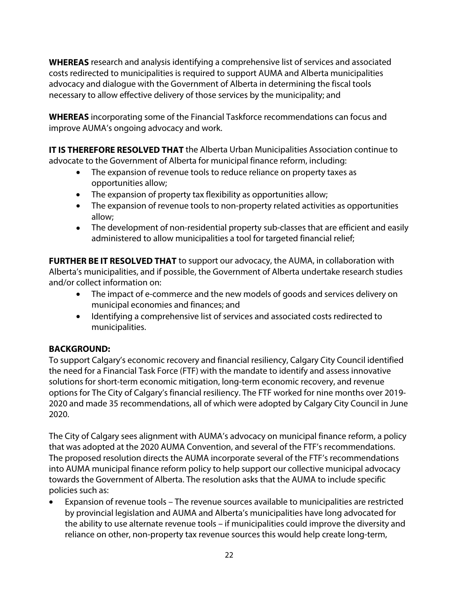**WHEREAS** research and analysis identifying a comprehensive list of services and associated costs redirected to municipalities is required to support AUMA and Alberta municipalities advocacy and dialogue with the Government of Alberta in determining the fiscal tools necessary to allow effective delivery of those services by the municipality; and

**WHEREAS** incorporating some of the Financial Taskforce recommendations can focus and improve AUMA's ongoing advocacy and work.

**IT IS THEREFORE RESOLVED THAT** the Alberta Urban Municipalities Association continue to advocate to the Government of Alberta for municipal finance reform, including:

- The expansion of revenue tools to reduce reliance on property taxes as opportunities allow;
- The expansion of property tax flexibility as opportunities allow;
- The expansion of revenue tools to non-property related activities as opportunities allow;
- The development of non-residential property sub-classes that are efficient and easily administered to allow municipalities a tool for targeted financial relief;

**FURTHER BE IT RESOLVED THAT** to support our advocacy, the AUMA, in collaboration with Alberta's municipalities, and if possible, the Government of Alberta undertake research studies and/or collect information on:

- The impact of e-commerce and the new models of goods and services delivery on municipal economies and finances; and
- Identifying a comprehensive list of services and associated costs redirected to municipalities.

#### **BACKGROUND:**

To support Calgary's economic recovery and financial resiliency, Calgary City Council identified the need for a Financial Task Force (FTF) with the mandate to identify and assess innovative solutions for short-term economic mitigation, long-term economic recovery, and revenue options for The City of Calgary's financial resiliency. The FTF worked for nine months over 2019- 2020 and made 35 recommendations, all of which were adopted by Calgary City Council in June 2020.

The City of Calgary sees alignment with AUMA's advocacy on municipal finance reform, a policy that was adopted at the 2020 AUMA Convention, and several of the FTF's recommendations. The proposed resolution directs the AUMA incorporate several of the FTF's recommendations into AUMA municipal finance reform policy to help support our collective municipal advocacy towards the Government of Alberta. The resolution asks that the AUMA to include specific policies such as:

• Expansion of revenue tools – The revenue sources available to municipalities are restricted by provincial legislation and AUMA and Alberta's municipalities have long advocated for the ability to use alternate revenue tools – if municipalities could improve the diversity and reliance on other, non-property tax revenue sources this would help create long-term,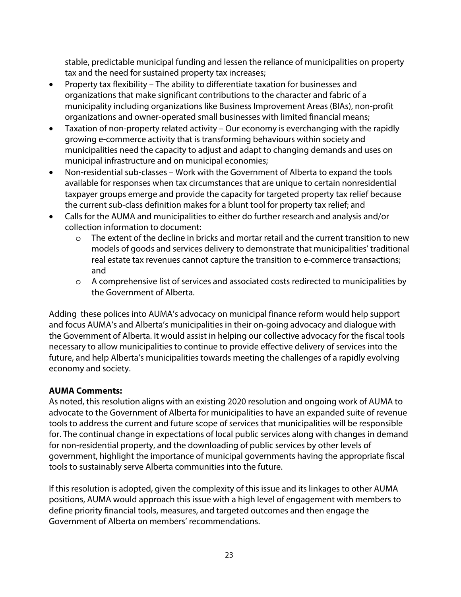stable, predictable municipal funding and lessen the reliance of municipalities on property tax and the need for sustained property tax increases;

- Property tax flexibility The ability to differentiate taxation for businesses and organizations that make significant contributions to the character and fabric of a municipality including organizations like Business Improvement Areas (BIAs), non-profit organizations and owner-operated small businesses with limited financial means;
- Taxation of non-property related activity Our economy is everchanging with the rapidly growing e-commerce activity that is transforming behaviours within society and municipalities need the capacity to adjust and adapt to changing demands and uses on municipal infrastructure and on municipal economies;
- Non-residential sub-classes Work with the Government of Alberta to expand the tools available for responses when tax circumstances that are unique to certain nonresidential taxpayer groups emerge and provide the capacity for targeted property tax relief because the current sub-class definition makes for a blunt tool for property tax relief; and
- Calls for the AUMA and municipalities to either do further research and analysis and/or collection information to document:
	- o The extent of the decline in bricks and mortar retail and the current transition to new models of goods and services delivery to demonstrate that municipalities' traditional real estate tax revenues cannot capture the transition to e-commerce transactions; and
	- o A comprehensive list of services and associated costs redirected to municipalities by the Government of Alberta.

Adding these polices into AUMA's advocacy on municipal finance reform would help support and focus AUMA's and Alberta's municipalities in their on-going advocacy and dialogue with the Government of Alberta. It would assist in helping our collective advocacy for the fiscal tools necessary to allow municipalities to continue to provide effective delivery of services into the future, and help Alberta's municipalities towards meeting the challenges of a rapidly evolving economy and society.

#### **AUMA Comments:**

As noted, this resolution aligns with an existing 2020 resolution and ongoing work of AUMA to advocate to the Government of Alberta for municipalities to have an expanded suite of revenue tools to address the current and future scope of services that municipalities will be responsible for. The continual change in expectations of local public services along with changes in demand for non-residential property, and the downloading of public services by other levels of government, highlight the importance of municipal governments having the appropriate fiscal tools to sustainably serve Alberta communities into the future.

If this resolution is adopted, given the complexity of this issue and its linkages to other AUMA positions, AUMA would approach this issue with a high level of engagement with members to define priority financial tools, measures, and targeted outcomes and then engage the Government of Alberta on members' recommendations.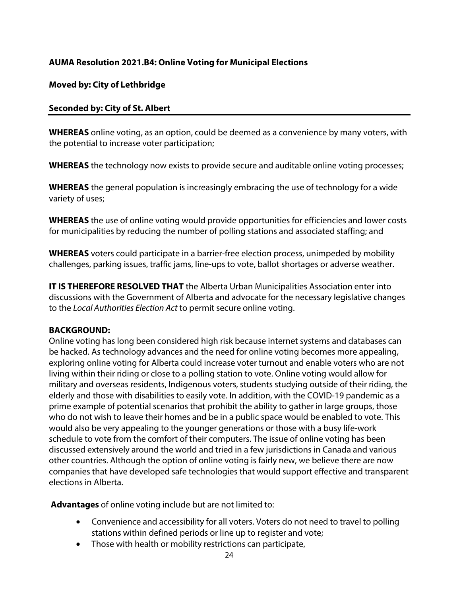#### **AUMA Resolution 2021.B4: Online Voting for Municipal Elections**

#### **Moved by: City of Lethbridge**

#### **Seconded by: City of St. Albert**

**WHEREAS** online voting, as an option, could be deemed as a convenience by many voters, with the potential to increase voter participation;

**WHEREAS** the technology now exists to provide secure and auditable online voting processes;

**WHEREAS** the general population is increasingly embracing the use of technology for a wide variety of uses;

**WHEREAS** the use of online voting would provide opportunities for efficiencies and lower costs for municipalities by reducing the number of polling stations and associated staffing; and

**WHEREAS** voters could participate in a barrier-free election process, unimpeded by mobility challenges, parking issues, traffic jams, line-ups to vote, ballot shortages or adverse weather.

**IT IS THEREFORE RESOLVED THAT** the Alberta Urban Municipalities Association enter into discussions with the Government of Alberta and advocate for the necessary legislative changes to the Local Authorities Election Act to permit secure online voting.

#### **BACKGROUND:**

Online voting has long been considered high risk because internet systems and databases can be hacked. As technology advances and the need for online voting becomes more appealing, exploring online voting for Alberta could increase voter turnout and enable voters who are not living within their riding or close to a polling station to vote. Online voting would allow for military and overseas residents, Indigenous voters, students studying outside of their riding, the elderly and those with disabilities to easily vote. In addition, with the COVID-19 pandemic as a prime example of potential scenarios that prohibit the ability to gather in large groups, those who do not wish to leave their homes and be in a public space would be enabled to vote. This would also be very appealing to the younger generations or those with a busy life-work schedule to vote from the comfort of their computers. The issue of online voting has been discussed extensively around the world and tried in a few jurisdictions in Canada and various other countries. Although the option of online voting is fairly new, we believe there are now companies that have developed safe technologies that would support effective and transparent elections in Alberta.

**Advantages** of online voting include but are not limited to:

- Convenience and accessibility for all voters. Voters do not need to travel to polling stations within defined periods or line up to register and vote;
- Those with health or mobility restrictions can participate,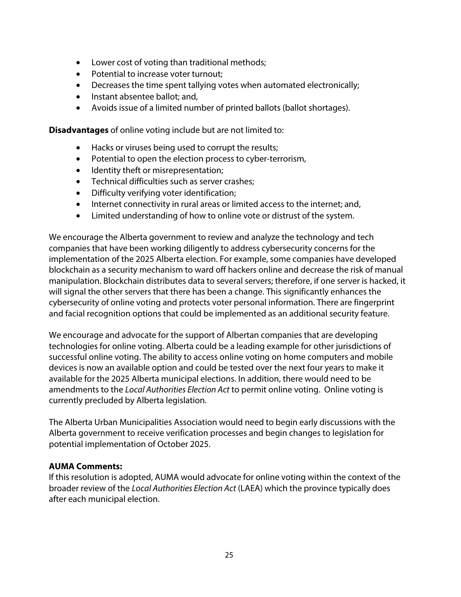- Lower cost of voting than traditional methods;
- Potential to increase voter turnout;
- Decreases the time spent tallying votes when automated electronically;
- Instant absentee ballot: and,
- Avoids issue of a limited number of printed ballots (ballot shortages).

**Disadvantages** of online voting include but are not limited to:

- Hacks or viruses being used to corrupt the results;
- Potential to open the election process to cyber-terrorism,
- Identity theft or misrepresentation;
- Technical difficulties such as server crashes;
- Difficulty verifying voter identification;
- Internet connectivity in rural areas or limited access to the internet; and,
- Limited understanding of how to online vote or distrust of the system.

We encourage the Alberta government to review and analyze the technology and tech companies that have been working diligently to address cybersecurity concerns for the implementation of the 2025 Alberta election. For example, some companies have developed blockchain as a security mechanism to ward off hackers online and decrease the risk of manual manipulation. Blockchain distributes data to several servers; therefore, if one server is hacked, it will signal the other servers that there has been a change. This significantly enhances the cybersecurity of online voting and protects voter personal information. There are fingerprint and facial recognition options that could be implemented as an additional security feature.

We encourage and advocate for the support of Albertan companies that are developing technologies for online voting. Alberta could be a leading example for other jurisdictions of successful online voting. The ability to access online voting on home computers and mobile devices is now an available option and could be tested over the next four years to make it available for the 2025 Alberta municipal elections. In addition, there would need to be amendments to the Local Authorities Election Act to permit online voting. Online voting is currently precluded by Alberta legislation.

The Alberta Urban Municipalities Association would need to begin early discussions with the Alberta government to receive verification processes and begin changes to legislation for potential implementation of October 2025.

#### **AUMA Comments:**

If this resolution is adopted, AUMA would advocate for online voting within the context of the broader review of the Local Authorities Election Act (LAEA) which the province typically does after each municipal election.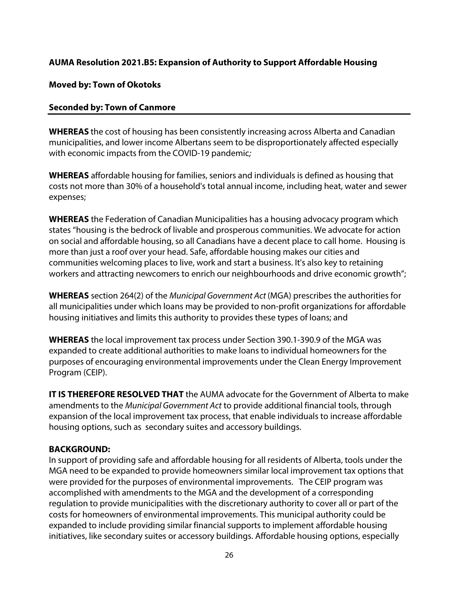#### **AUMA Resolution 2021.B5: Expansion of Authority to Support Affordable Housing**

#### **Moved by: Town of Okotoks**

#### **Seconded by: Town of Canmore**

**WHEREAS** the cost of housing has been consistently increasing across Alberta and Canadian municipalities, and lower income Albertans seem to be disproportionately affected especially with economic impacts from the COVID-19 pandemic;

**WHEREAS** affordable housing for families, seniors and individuals is defined as housing that costs not more than 30% of a household's total annual income, including heat, water and sewer expenses;

**WHEREAS** the Federation of Canadian Municipalities has a housing advocacy program which states "housing is the bedrock of livable and prosperous communities. We advocate for action on social and affordable housing, so all Canadians have a decent place to call home. Housing is more than just a roof over your head. Safe, affordable housing makes our cities and communities welcoming places to live, work and start a business. It's also key to retaining workers and attracting newcomers to enrich our neighbourhoods and drive economic growth";

**WHEREAS** section 264(2) of the Municipal Government Act (MGA) prescribes the authorities for all municipalities under which loans may be provided to non-profit organizations for affordable housing initiatives and limits this authority to provides these types of loans; and

**WHEREAS** the local improvement tax process under Section 390.1-390.9 of the MGA was expanded to create additional authorities to make loans to individual homeowners for the purposes of encouraging environmental improvements under the Clean Energy Improvement Program (CEIP).

**IT IS THEREFORE RESOLVED THAT** the AUMA advocate for the Government of Alberta to make amendments to the Municipal Government Act to provide additional financial tools, through expansion of the local improvement tax process, that enable individuals to increase affordable housing options, such as secondary suites and accessory buildings.

#### **BACKGROUND:**

In support of providing safe and affordable housing for all residents of Alberta, tools under the MGA need to be expanded to provide homeowners similar local improvement tax options that were provided for the purposes of environmental improvements. The CEIP program was accomplished with amendments to the MGA and the development of a corresponding regulation to provide municipalities with the discretionary authority to cover all or part of the costs for homeowners of environmental improvements. This municipal authority could be expanded to include providing similar financial supports to implement affordable housing initiatives, like secondary suites or accessory buildings. Affordable housing options, especially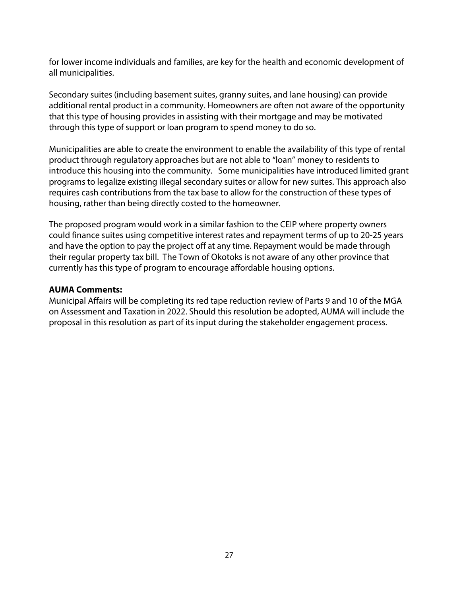for lower income individuals and families, are key for the health and economic development of all municipalities.

Secondary suites (including basement suites, granny suites, and lane housing) can provide additional rental product in a community. Homeowners are often not aware of the opportunity that this type of housing provides in assisting with their mortgage and may be motivated through this type of support or loan program to spend money to do so.

Municipalities are able to create the environment to enable the availability of this type of rental product through regulatory approaches but are not able to "loan" money to residents to introduce this housing into the community. Some municipalities have introduced limited grant programs to legalize existing illegal secondary suites or allow for new suites. This approach also requires cash contributions from the tax base to allow for the construction of these types of housing, rather than being directly costed to the homeowner.

The proposed program would work in a similar fashion to the CEIP where property owners could finance suites using competitive interest rates and repayment terms of up to 20-25 years and have the option to pay the project off at any time. Repayment would be made through their regular property tax bill. The Town of Okotoks is not aware of any other province that currently has this type of program to encourage affordable housing options.

#### **AUMA Comments:**

Municipal Affairs will be completing its red tape reduction review of Parts 9 and 10 of the MGA on Assessment and Taxation in 2022. Should this resolution be adopted, AUMA will include the proposal in this resolution as part of its input during the stakeholder engagement process.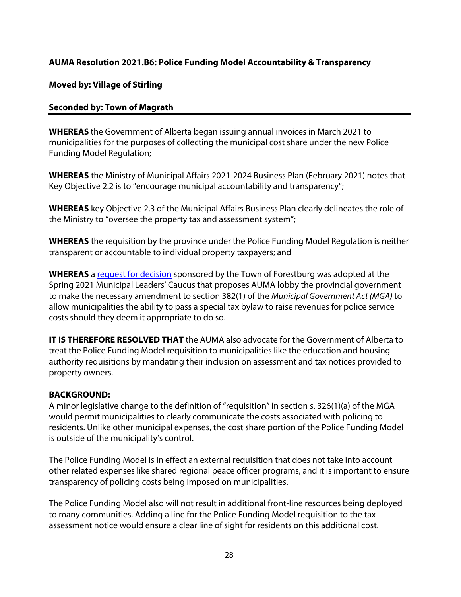#### **AUMA Resolution 2021.B6: Police Funding Model Accountability & Transparency**

#### **Moved by: Village of Stirling**

#### **Seconded by: Town of Magrath**

**WHEREAS** the Government of Alberta began issuing annual invoices in March 2021 to municipalities for the purposes of collecting the municipal cost share under the new Police Funding Model Regulation;

**WHEREAS** the Ministry of Municipal Affairs 2021-2024 Business Plan (February 2021) notes that Key Objective 2.2 is to "encourage municipal accountability and transparency";

**WHEREAS** key Objective 2.3 of the Municipal Affairs Business Plan clearly delineates the role of the Ministry to "oversee the property tax and assessment system";

**WHEREAS** the requisition by the province under the Police Funding Model Regulation is neither transparent or accountable to individual property taxpayers; and

**WHEREAS** a request for decision sponsored by the Town of Forestburg was adopted at the Spring 2021 Municipal Leaders' Caucus that proposes AUMA lobby the provincial government to make the necessary amendment to section 382(1) of the Municipal Government Act (MGA) to allow municipalities the ability to pass a special tax bylaw to raise revenues for police service costs should they deem it appropriate to do so.

**IT IS THEREFORE RESOLVED THAT** the AUMA also advocate for the Government of Alberta to treat the Police Funding Model requisition to municipalities like the education and housing authority requisitions by mandating their inclusion on assessment and tax notices provided to property owners.

#### **BACKGROUND:**

A minor legislative change to the definition of "requisition" in section s. 326(1)(a) of the MGA would permit municipalities to clearly communicate the costs associated with policing to residents. Unlike other municipal expenses, the cost share portion of the Police Funding Model is outside of the municipality's control.

The Police Funding Model is in effect an external requisition that does not take into account other related expenses like shared regional peace officer programs, and it is important to ensure transparency of policing costs being imposed on municipalities.

The Police Funding Model also will not result in additional front-line resources being deployed to many communities. Adding a line for the Police Funding Model requisition to the tax assessment notice would ensure a clear line of sight for residents on this additional cost.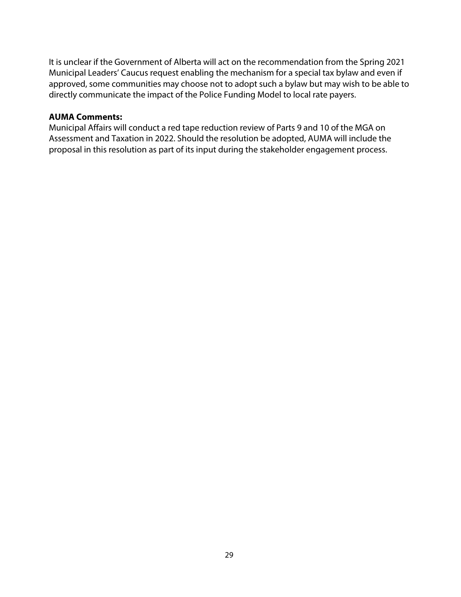It is unclear if the Government of Alberta will act on the recommendation from the Spring 2021 Municipal Leaders' Caucus request enabling the mechanism for a special tax bylaw and even if approved, some communities may choose not to adopt such a bylaw but may wish to be able to directly communicate the impact of the Police Funding Model to local rate payers.

#### **AUMA Comments:**

Municipal Affairs will conduct a red tape reduction review of Parts 9 and 10 of the MGA on Assessment and Taxation in 2022. Should the resolution be adopted, AUMA will include the proposal in this resolution as part of its input during the stakeholder engagement process.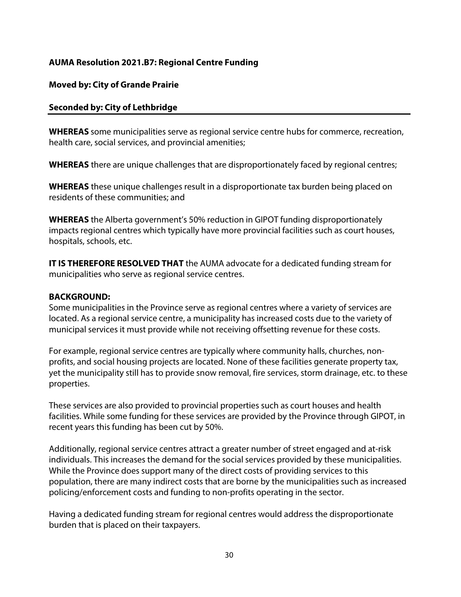#### **AUMA Resolution 2021.B7: Regional Centre Funding**

#### **Moved by: City of Grande Prairie**

#### **Seconded by: City of Lethbridge**

**WHEREAS** some municipalities serve as regional service centre hubs for commerce, recreation, health care, social services, and provincial amenities;

**WHEREAS** there are unique challenges that are disproportionately faced by regional centres;

**WHEREAS** these unique challenges result in a disproportionate tax burden being placed on residents of these communities; and

**WHEREAS** the Alberta government's 50% reduction in GIPOT funding disproportionately impacts regional centres which typically have more provincial facilities such as court houses, hospitals, schools, etc.

**IT IS THEREFORE RESOLVED THAT** the AUMA advocate for a dedicated funding stream for municipalities who serve as regional service centres.

#### **BACKGROUND:**

Some municipalities in the Province serve as regional centres where a variety of services are located. As a regional service centre, a municipality has increased costs due to the variety of municipal services it must provide while not receiving offsetting revenue for these costs.

For example, regional service centres are typically where community halls, churches, nonprofits, and social housing projects are located. None of these facilities generate property tax, yet the municipality still has to provide snow removal, fire services, storm drainage, etc. to these properties.

These services are also provided to provincial properties such as court houses and health facilities. While some funding for these services are provided by the Province through GIPOT, in recent years this funding has been cut by 50%.

Additionally, regional service centres attract a greater number of street engaged and at-risk individuals. This increases the demand for the social services provided by these municipalities. While the Province does support many of the direct costs of providing services to this population, there are many indirect costs that are borne by the municipalities such as increased policing/enforcement costs and funding to non-profits operating in the sector.

Having a dedicated funding stream for regional centres would address the disproportionate burden that is placed on their taxpayers.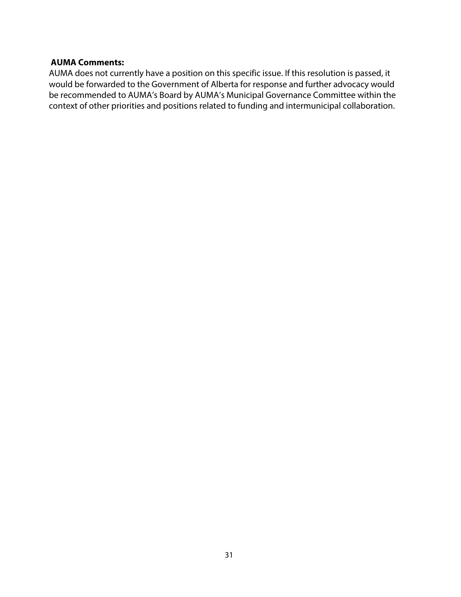#### **AUMA Comments:**

AUMA does not currently have a position on this specific issue. If this resolution is passed, it would be forwarded to the Government of Alberta for response and further advocacy would be recommended to AUMA's Board by AUMA's Municipal Governance Committee within the context of other priorities and positions related to funding and intermunicipal collaboration.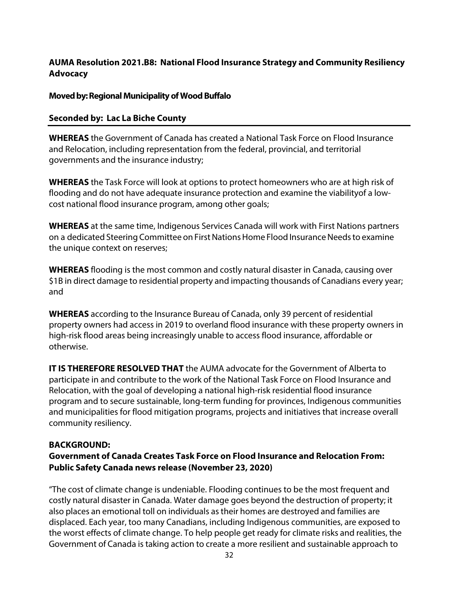#### **AUMA Resolution 2021.B8: National Flood Insurance Strategy and Community Resiliency Advocacy**

#### **Moved by: Regional Municipality of Wood Buffalo**

#### **Seconded by: Lac La Biche County**

**WHEREAS** the Government of Canada has created a National Task Force on Flood Insurance and Relocation, including representation from the federal, provincial, and territorial governments and the insurance industry;

**WHEREAS** the Task Force will look at options to protect homeowners who are at high risk of flooding and do not have adequate insurance protection and examine the viability of a lowcost national flood insurance program, among other goals;

**WHEREAS** at the same time, Indigenous Services Canada will work with First Nations partners on a dedicated Steering Committee on First Nations Home Flood Insurance Needs to examine the unique context on reserves;

**WHEREAS** flooding is the most common and costly natural disaster in Canada, causing over \$1B in direct damage to residential property and impacting thousands of Canadians every year; and

**WHEREAS** according to the Insurance Bureau of Canada, only 39 percent of residential property owners had access in 2019 to overland flood insurance with these property owners in high-risk flood areas being increasingly unable to access flood insurance, affordable or otherwise.

**IT IS THEREFORE RESOLVED THAT** the AUMA advocate for the Government of Alberta to participate in and contribute to the work of the National Task Force on Flood Insurance and Relocation, with the goal of developing a national high-risk residential flood insurance program and to secure sustainable, long-term funding for provinces, Indigenous communities and municipalities for flood mitigation programs, projects and initiatives that increase overall community resiliency.

#### **BACKGROUND:**

#### **Government of Canada Creates Task Force on Flood Insurance and Relocation From: Public Safety Canada news release (November 23, 2020)**

"The cost of climate change is undeniable. Flooding continues to be the most frequent and costly natural disaster in Canada. Water damage goes beyond the destruction of property; it also places an emotional toll on individuals as their homes are destroyed and families are displaced. Each year, too many Canadians, including Indigenous communities, are exposed to the worst effects of climate change. To help people get ready for climate risks and realities, the Government of Canada is taking action to create a more resilient and sustainable approach to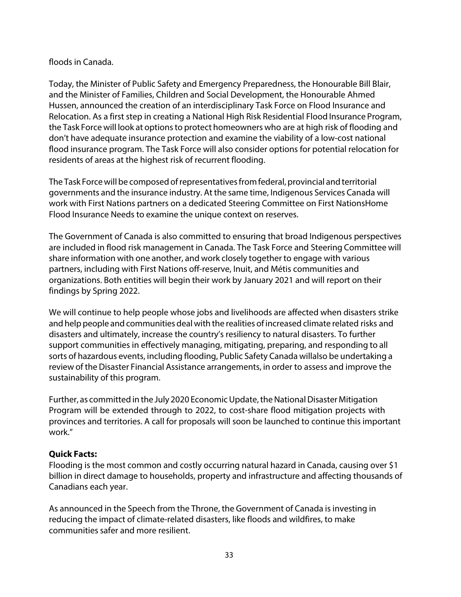#### floods in Canada.

Today, the Minister of Public Safety and Emergency Preparedness, the Honourable Bill Blair, and the Minister of Families, Children and Social Development, the Honourable Ahmed Hussen, announced the creation of an interdisciplinary Task Force on Flood Insurance and Relocation. As a first step in creating a National High Risk Residential Flood Insurance Program, the Task Force will look at options to protect homeowners who are at high risk of flooding and don't have adequate insurance protection and examine the viability of a low-cost national flood insurance program. The Task Force will also consider options for potential relocation for residents of areas at the highest risk of recurrent flooding.

The Task Force will be composed of representatives from federal, provincial and territorial governments and the insurance industry. At the same time, Indigenous Services Canada will work with First Nations partners on a dedicated Steering Committee on First Nations Home Flood Insurance Needs to examine the unique context on reserves.

The Government of Canada is also committed to ensuring that broad Indigenous perspectives are included in flood risk management in Canada. The Task Force and Steering Committee will share information with one another, and work closely together to engage with various partners, including with First Nations off-reserve, Inuit, and Métis communities and organizations. Both entities will begin their work by January 2021 and will report on their findings by Spring 2022.

We will continue to help people whose jobs and livelihoods are affected when disasters strike and help people and communities deal with the realities of increased climate related risks and disasters and ultimately, increase the country's resiliency to natural disasters. To further support communities in effectively managing, mitigating, preparing, and responding to all sorts of hazardous events, including flooding, Public Safety Canada willalso be undertaking a review of the Disaster Financial Assistance arrangements, in order to assess and improve the sustainability of this program.

Further, as committed in the July 2020 Economic Update, the National Disaster Mitigation Program will be extended through to 2022, to cost-share flood mitigation projects with provinces and territories. A call for proposals will soon be launched to continue this important work."

#### **Quick Facts:**

Flooding is the most common and costly occurring natural hazard in Canada, causing over \$1 billion in direct damage to households, property and infrastructure and affecting thousands of Canadians each year.

As announced in the Speech from the Throne, the Government of Canada is investing in reducing the impact of climate-related disasters, like floods and wildfires, to make communities safer and more resilient.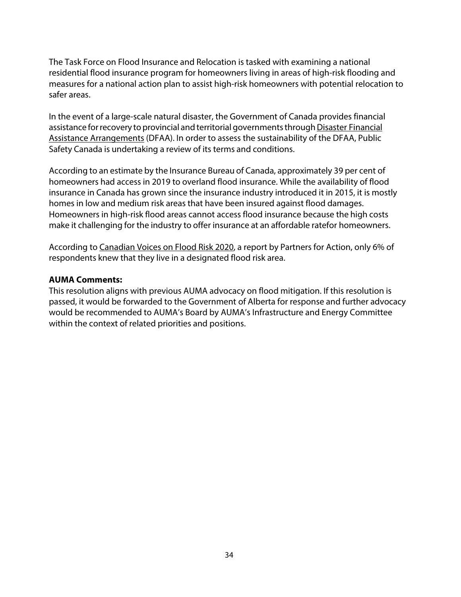The Task Force on Flood Insurance and Relocation is tasked with examining a national residential flood insurance program for homeowners living in areas of high-risk flooding and measures for a national action plan to assist high-risk homeowners with potential relocation to safer areas.

In the event of a large-scale natural disaster, the Government of Canada provides financial assistance for recovery to provincial and territorial governments through Disaster Financial Assistance Arrangements (DFAA). In order to assess the sustainability of the DFAA, Public Safety Canada is undertaking a review of its terms and conditions.

According to an estimate by the Insurance Bureau of Canada, approximately 39 per cent of homeowners had access in 2019 to overland flood insurance. While the availability of flood insurance in Canada has grown since the insurance industry introduced it in 2015, it is mostly homes in low and medium risk areas that have been insured against flood damages. Homeowners in high-risk flood areas cannot access flood insurance because the high costs make it challenging for the industry to offer insurance at an affordable ratefor homeowners.

According to Canadian Voices on Flood Risk 2020, a report by Partners for Action, only 6% of respondents knew that they live in a designated flood risk area.

#### **AUMA Comments:**

This resolution aligns with previous AUMA advocacy on flood mitigation. If this resolution is passed, it would be forwarded to the Government of Alberta for response and further advocacy would be recommended to AUMA's Board by AUMA's Infrastructure and Energy Committee within the context of related priorities and positions.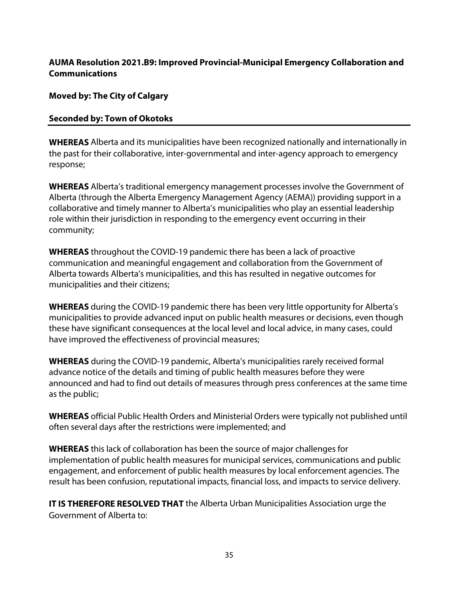#### **AUMA Resolution 2021.B9: Improved Provincial-Municipal Emergency Collaboration and Communications**

**Moved by: The City of Calgary** 

#### **Seconded by: Town of Okotoks**

**WHEREAS** Alberta and its municipalities have been recognized nationally and internationally in the past for their collaborative, inter-governmental and inter-agency approach to emergency response;

**WHEREAS** Alberta's traditional emergency management processes involve the Government of Alberta (through the Alberta Emergency Management Agency (AEMA)) providing support in a collaborative and timely manner to Alberta's municipalities who play an essential leadership role within their jurisdiction in responding to the emergency event occurring in their community;

**WHEREAS** throughout the COVID-19 pandemic there has been a lack of proactive communication and meaningful engagement and collaboration from the Government of Alberta towards Alberta's municipalities, and this has resulted in negative outcomes for municipalities and their citizens;

**WHEREAS** during the COVID-19 pandemic there has been very little opportunity for Alberta's municipalities to provide advanced input on public health measures or decisions, even though these have significant consequences at the local level and local advice, in many cases, could have improved the effectiveness of provincial measures;

**WHEREAS** during the COVID-19 pandemic, Alberta's municipalities rarely received formal advance notice of the details and timing of public health measures before they were announced and had to find out details of measures through press conferences at the same time as the public;

**WHEREAS** official Public Health Orders and Ministerial Orders were typically not published until often several days after the restrictions were implemented; and

**WHEREAS** this lack of collaboration has been the source of major challenges for implementation of public health measures for municipal services, communications and public engagement, and enforcement of public health measures by local enforcement agencies. The result has been confusion, reputational impacts, financial loss, and impacts to service delivery.

**IT IS THEREFORE RESOLVED THAT** the Alberta Urban Municipalities Association urge the Government of Alberta to: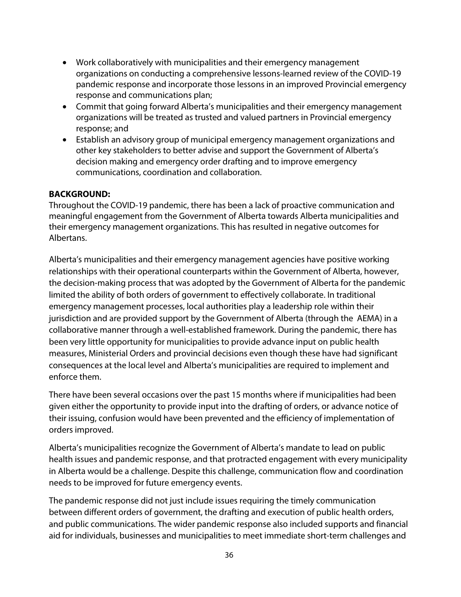- Work collaboratively with municipalities and their emergency management organizations on conducting a comprehensive lessons-learned review of the COVID-19 pandemic response and incorporate those lessons in an improved Provincial emergency response and communications plan;
- Commit that going forward Alberta's municipalities and their emergency management organizations will be treated as trusted and valued partners in Provincial emergency response; and
- Establish an advisory group of municipal emergency management organizations and other key stakeholders to better advise and support the Government of Alberta's decision making and emergency order drafting and to improve emergency communications, coordination and collaboration.

#### **BACKGROUND:**

Throughout the COVID-19 pandemic, there has been a lack of proactive communication and meaningful engagement from the Government of Alberta towards Alberta municipalities and their emergency management organizations. This has resulted in negative outcomes for Albertans.

Alberta's municipalities and their emergency management agencies have positive working relationships with their operational counterparts within the Government of Alberta, however, the decision-making process that was adopted by the Government of Alberta for the pandemic limited the ability of both orders of government to effectively collaborate. In traditional emergency management processes, local authorities play a leadership role within their jurisdiction and are provided support by the Government of Alberta (through the AEMA) in a collaborative manner through a well-established framework. During the pandemic, there has been very little opportunity for municipalities to provide advance input on public health measures, Ministerial Orders and provincial decisions even though these have had significant consequences at the local level and Alberta's municipalities are required to implement and enforce them.

There have been several occasions over the past 15 months where if municipalities had been given either the opportunity to provide input into the drafting of orders, or advance notice of their issuing, confusion would have been prevented and the efficiency of implementation of orders improved.

Alberta's municipalities recognize the Government of Alberta's mandate to lead on public health issues and pandemic response, and that protracted engagement with every municipality in Alberta would be a challenge. Despite this challenge, communication flow and coordination needs to be improved for future emergency events.

The pandemic response did not just include issues requiring the timely communication between different orders of government, the drafting and execution of public health orders, and public communications. The wider pandemic response also included supports and financial aid for individuals, businesses and municipalities to meet immediate short-term challenges and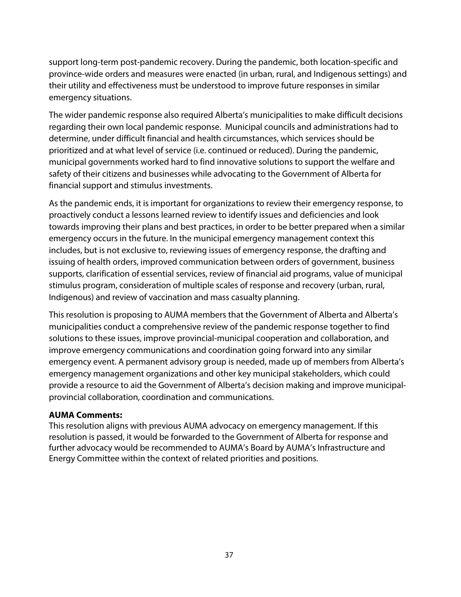support long-term post-pandemic recovery. During the pandemic, both location-specific and province-wide orders and measures were enacted (in urban, rural, and Indigenous settings) and their utility and effectiveness must be understood to improve future responses in similar emergency situations.

The wider pandemic response also required Alberta's municipalities to make difficult decisions regarding their own local pandemic response. Municipal councils and administrations had to determine, under difficult financial and health circumstances, which services should be prioritized and at what level of service (i.e. continued or reduced). During the pandemic, municipal governments worked hard to find innovative solutions to support the welfare and safety of their citizens and businesses while advocating to the Government of Alberta for financial support and stimulus investments.

As the pandemic ends, it is important for organizations to review their emergency response, to proactively conduct a lessons learned review to identify issues and deficiencies and look towards improving their plans and best practices, in order to be better prepared when a similar emergency occurs in the future. In the municipal emergency management context this includes, but is not exclusive to, reviewing issues of emergency response, the drafting and issuing of health orders, improved communication between orders of government, business supports, clarification of essential services, review of financial aid programs, value of municipal stimulus program, consideration of multiple scales of response and recovery (urban, rural, Indigenous) and review of vaccination and mass casualty planning.

This resolution is proposing to AUMA members that the Government of Alberta and Alberta's municipalities conduct a comprehensive review of the pandemic response together to find solutions to these issues, improve provincial-municipal cooperation and collaboration, and improve emergency communications and coordination going forward into any similar emergency event. A permanent advisory group is needed, made up of members from Alberta's emergency management organizations and other key municipal stakeholders, which could provide a resource to aid the Government of Alberta's decision making and improve municipalprovincial collaboration, coordination and communications.

#### **AUMA Comments:**

This resolution aligns with previous AUMA advocacy on emergency management. If this resolution is passed, it would be forwarded to the Government of Alberta for response and further advocacy would be recommended to AUMA's Board by AUMA's Infrastructure and Energy Committee within the context of related priorities and positions.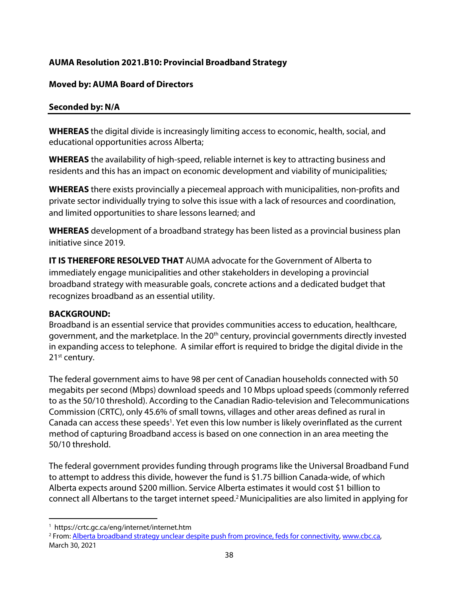#### **AUMA Resolution 2021.B10: Provincial Broadband Strategy**

#### **Moved by: AUMA Board of Directors**

#### **Seconded by: N/A**

**WHEREAS** the digital divide is increasingly limiting access to economic, health, social, and educational opportunities across Alberta;

**WHEREAS** the availability of high-speed, reliable internet is key to attracting business and residents and this has an impact on economic development and viability of municipalities;

**WHEREAS** there exists provincially a piecemeal approach with municipalities, non-profits and private sector individually trying to solve this issue with a lack of resources and coordination, and limited opportunities to share lessons learned; and

**WHEREAS** development of a broadband strategy has been listed as a provincial business plan initiative since 2019.

**IT IS THEREFORE RESOLVED THAT** AUMA advocate for the Government of Alberta to immediately engage municipalities and other stakeholders in developing a provincial broadband strategy with measurable goals, concrete actions and a dedicated budget that recognizes broadband as an essential utility.

#### **BACKGROUND:**

Broadband is an essential service that provides communities access to education, healthcare, government, and the marketplace. In the 20<sup>th</sup> century, provincial governments directly invested in expanding access to telephone. A similar effort is required to bridge the digital divide in the 21<sup>st</sup> century.

The federal government aims to have 98 per cent of Canadian households connected with 50 megabits per second (Mbps) download speeds and 10 Mbps upload speeds (commonly referred to as the 50/10 threshold). According to the Canadian Radio-television and Telecommunications Commission (CRTC), only 45.6% of small towns, villages and other areas defined as rural in Canada can access these speeds<sup>1</sup>. Yet even this low number is likely overinflated as the current method of capturing Broadband access is based on one connection in an area meeting the 50/10 threshold.

The federal government provides funding through programs like the Universal Broadband Fund to attempt to address this divide, however the fund is \$1.75 billion Canada-wide, of which Alberta expects around \$200 million. Service Alberta estimates it would cost \$1 billion to connect all Albertans to the target internet speed.2 Municipalities are also limited in applying for

<sup>1</sup> https://crtc.gc.ca/eng/internet/internet.htm

<sup>2</sup> From: Alberta broadband strategy unclear despite push from province, feds for connectivity, www.cbc.ca, March 30, 2021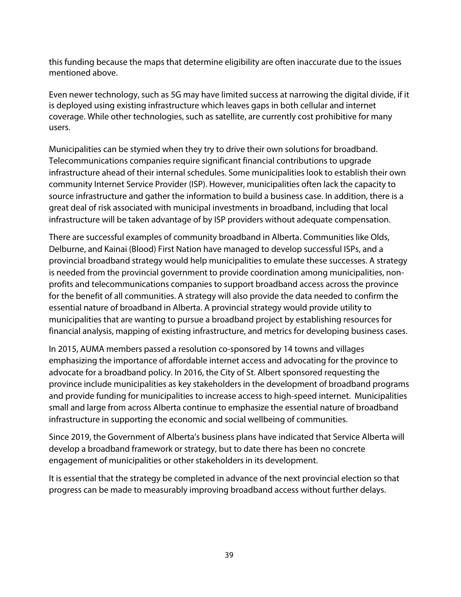this funding because the maps that determine eligibility are often inaccurate due to the issues mentioned above.

Even newer technology, such as 5G may have limited success at narrowing the digital divide, if it is deployed using existing infrastructure which leaves gaps in both cellular and internet coverage. While other technologies, such as satellite, are currently cost prohibitive for many users.

Municipalities can be stymied when they try to drive their own solutions for broadband. Telecommunications companies require significant financial contributions to upgrade infrastructure ahead of their internal schedules. Some municipalities look to establish their own community Internet Service Provider (ISP). However, municipalities often lack the capacity to source infrastructure and gather the information to build a business case. In addition, there is a great deal of risk associated with municipal investments in broadband, including that local infrastructure will be taken advantage of by ISP providers without adequate compensation.

There are successful examples of community broadband in Alberta. Communities like Olds, Delburne, and Kainai (Blood) First Nation have managed to develop successful ISPs, and a provincial broadband strategy would help municipalities to emulate these successes. A strategy is needed from the provincial government to provide coordination among municipalities, nonprofits and telecommunications companies to support broadband access across the province for the benefit of all communities. A strategy will also provide the data needed to confirm the essential nature of broadband in Alberta. A provincial strategy would provide utility to municipalities that are wanting to pursue a broadband project by establishing resources for financial analysis, mapping of existing infrastructure, and metrics for developing business cases.

In 2015, AUMA members passed a resolution co-sponsored by 14 towns and villages emphasizing the importance of affordable internet access and advocating for the province to advocate for a broadband policy. In 2016, the City of St. Albert sponsored requesting the province include municipalities as key stakeholders in the development of broadband programs and provide funding for municipalities to increase access to high-speed internet. Municipalities small and large from across Alberta continue to emphasize the essential nature of broadband infrastructure in supporting the economic and social wellbeing of communities.

Since 2019, the Government of Alberta's business plans have indicated that Service Alberta will develop a broadband framework or strategy, but to date there has been no concrete engagement of municipalities or other stakeholders in its development.

It is essential that the strategy be completed in advance of the next provincial election so that progress can be made to measurably improving broadband access without further delays.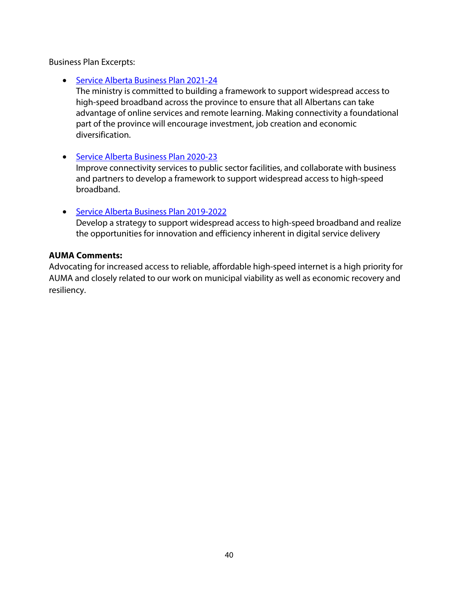Business Plan Excerpts:

• Service Alberta Business Plan 2021-24

The ministry is committed to building a framework to support widespread access to high-speed broadband across the province to ensure that all Albertans can take advantage of online services and remote learning. Making connectivity a foundational part of the province will encourage investment, job creation and economic diversification.

• Service Alberta Business Plan 2020-23

Improve connectivity services to public sector facilities, and collaborate with business and partners to develop a framework to support widespread access to high-speed broadband.

• Service Alberta Business Plan 2019-2022 Develop a strategy to support widespread access to high-speed broadband and realize the opportunities for innovation and efficiency inherent in digital service delivery

#### **AUMA Comments:**

Advocating for increased access to reliable, affordable high-speed internet is a high priority for AUMA and closely related to our work on municipal viability as well as economic recovery and resiliency.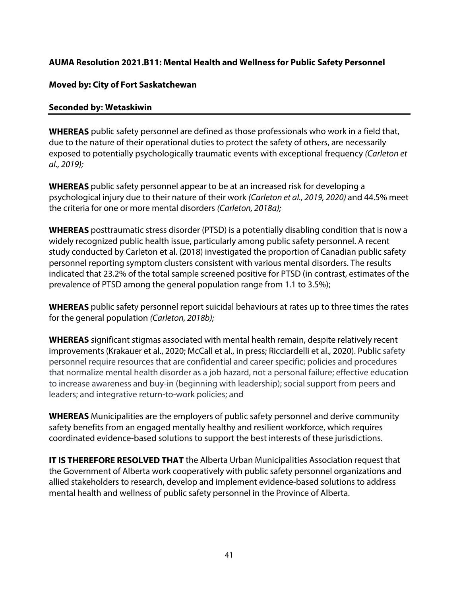#### **AUMA Resolution 2021.B11: Mental Health and Wellness for Public Safety Personnel**

#### **Moved by: City of Fort Saskatchewan**

#### **Seconded by: Wetaskiwin**

**WHEREAS** public safety personnel are defined as those professionals who work in a field that, due to the nature of their operational duties to protect the safety of others, are necessarily exposed to potentially psychologically traumatic events with exceptional frequency (Carleton et al., 2019);

**WHEREAS** public safety personnel appear to be at an increased risk for developing a psychological injury due to their nature of their work (Carleton et al., 2019, 2020) and 44.5% meet the criteria for one or more mental disorders (Carleton, 2018a);

**WHEREAS** posttraumatic stress disorder (PTSD) is a potentially disabling condition that is now a widely recognized public health issue, particularly among public safety personnel. A recent study conducted by Carleton et al. (2018) investigated the proportion of Canadian public safety personnel reporting symptom clusters consistent with various mental disorders. The results indicated that 23.2% of the total sample screened positive for PTSD (in contrast, estimates of the prevalence of PTSD among the general population range from 1.1 to 3.5%);

**WHEREAS** public safety personnel report suicidal behaviours at rates up to three times the rates for the general population (Carleton, 2018b);

**WHEREAS** significant stigmas associated with mental health remain, despite relatively recent improvements (Krakauer et al., 2020; McCall et al., in press; Ricciardelli et al., 2020). Public safety personnel require resources that are confidential and career specific; policies and procedures that normalize mental health disorder as a job hazard, not a personal failure; effective education to increase awareness and buy-in (beginning with leadership); social support from peers and leaders; and integrative return-to-work policies; and

**WHEREAS** Municipalities are the employers of public safety personnel and derive community safety benefits from an engaged mentally healthy and resilient workforce, which requires coordinated evidence-based solutions to support the best interests of these jurisdictions.

**IT IS THEREFORE RESOLVED THAT** the Alberta Urban Municipalities Association request that the Government of Alberta work cooperatively with public safety personnel organizations and allied stakeholders to research, develop and implement evidence-based solutions to address mental health and wellness of public safety personnel in the Province of Alberta.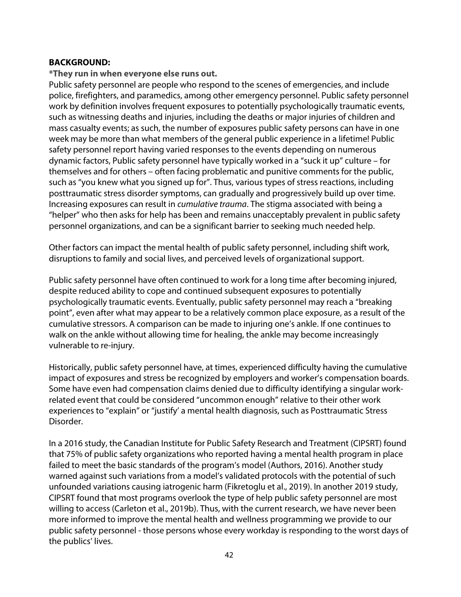#### **BACKGROUND:**

**\*They run in when everyone else runs out.**

Public safety personnel are people who respond to the scenes of emergencies, and include police, firefighters, and paramedics, among other emergency personnel. Public safety personnel work by definition involves frequent exposures to potentially psychologically traumatic events, such as witnessing deaths and injuries, including the deaths or major injuries of children and mass casualty events; as such, the number of exposures public safety persons can have in one week may be more than what members of the general public experience in a lifetime! Public safety personnel report having varied responses to the events depending on numerous dynamic factors, Public safety personnel have typically worked in a "suck it up" culture – for themselves and for others – often facing problematic and punitive comments for the public, such as "you knew what you signed up for". Thus, various types of stress reactions, including posttraumatic stress disorder symptoms, can gradually and progressively build up over time. Increasing exposures can result in cumulative trauma. The stigma associated with being a "helper" who then asks for help has been and remains unacceptably prevalent in public safety personnel organizations, and can be a significant barrier to seeking much needed help.

Other factors can impact the mental health of public safety personnel, including shift work, disruptions to family and social lives, and perceived levels of organizational support.

Public safety personnel have often continued to work for a long time after becoming injured, despite reduced ability to cope and continued subsequent exposures to potentially psychologically traumatic events. Eventually, public safety personnel may reach a "breaking point", even after what may appear to be a relatively common place exposure, as a result of the cumulative stressors. A comparison can be made to injuring one's ankle. If one continues to walk on the ankle without allowing time for healing, the ankle may become increasingly vulnerable to re-injury.

Historically, public safety personnel have, at times, experienced difficulty having the cumulative impact of exposures and stress be recognized by employers and worker's compensation boards. Some have even had compensation claims denied due to difficulty identifying a singular workrelated event that could be considered "uncommon enough" relative to their other work experiences to "explain" or "justify' a mental health diagnosis, such as Posttraumatic Stress Disorder.

In a 2016 study, the Canadian Institute for Public Safety Research and Treatment (CIPSRT) found that 75% of public safety organizations who reported having a mental health program in place failed to meet the basic standards of the program's model (Authors, 2016). Another study warned against such variations from a model's validated protocols with the potential of such unfounded variations causing iatrogenic harm (Fikretoglu et al., 2019). In another 2019 study, CIPSRT found that most programs overlook the type of help public safety personnel are most willing to access (Carleton et al., 2019b). Thus, with the current research, we have never been more informed to improve the mental health and wellness programming we provide to our public safety personnel - those persons whose every workday is responding to the worst days of the publics' lives.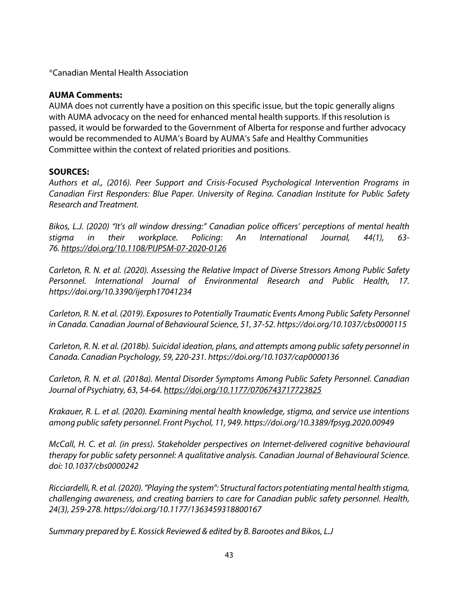\*Canadian Mental Health Association

#### **AUMA Comments:**

AUMA does not currently have a position on this specific issue, but the topic generally aligns with AUMA advocacy on the need for enhanced mental health supports. If this resolution is passed, it would be forwarded to the Government of Alberta for response and further advocacy would be recommended to AUMA's Board by AUMA's Safe and Healthy Communities Committee within the context of related priorities and positions.

#### **SOURCES:**

Authors et al., (2016). Peer Support and Crisis-Focused Psychological Intervention Programs in Canadian First Responders: Blue Paper. University of Regina. Canadian Institute for Public Safety Research and Treatment.

Bikos, L.J. (2020) "It's all window dressing:" Canadian police officers' perceptions of mental health stigma in their workplace. Policing: An International Journal, 44(1), 63- 76. https://doi.org/10.1108/PIJPSM-07-2020-0126

Carleton, R. N. et al. (2020). Assessing the Relative Impact of Diverse Stressors Among Public Safety Personnel. International Journal of Environmental Research and Public Health, 17. https://doi.org/10.3390/ijerph17041234

Carleton, R. N. et al. (2019). Exposures to Potentially Traumatic Events Among Public Safety Personnel in Canada. Canadian Journal of Behavioural Science, 51, 37-52. https://doi.org/10.1037/cbs0000115

Carleton, R. N. et al. (2018b). Suicidal ideation, plans, and attempts among public safety personnel in Canada. Canadian Psychology, 59, 220-231. https://doi.org/10.1037/cap0000136

Carleton, R. N. et al. (2018a). Mental Disorder Symptoms Among Public Safety Personnel. Canadian Journal of Psychiatry, 63, 54-64. https://doi.org/10.1177/0706743717723825

Krakauer, R. L. et al. (2020). Examining mental health knowledge, stigma, and service use intentions among public safety personnel. Front Psychol, 11, 949. https://doi.org/10.3389/fpsyg.2020.00949

McCall, H. C. et al. (in press). Stakeholder perspectives on Internet-delivered cognitive behavioural therapy for public safety personnel: A qualitative analysis. Canadian Journal of Behavioural Science. doi: 10.1037/cbs0000242

Ricciardelli, R. et al. (2020). "Playing the system": Structural factors potentiating mental health stigma, challenging awareness, and creating barriers to care for Canadian public safety personnel. Health, 24(3), 259-278. https://doi.org/10.1177/1363459318800167

Summary prepared by E. Kossick Reviewed & edited by B. Barootes and Bikos, L.J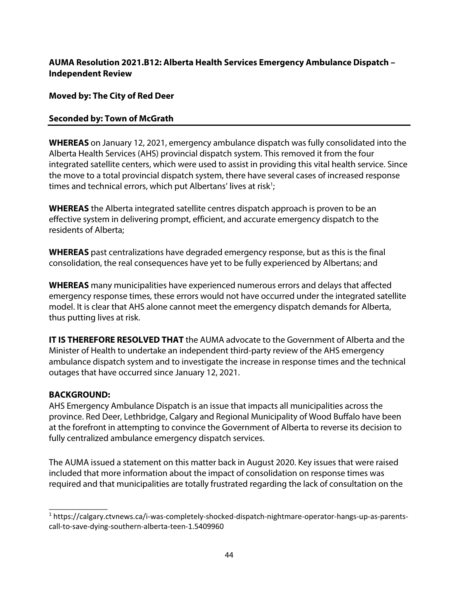#### **AUMA Resolution 2021.B12: Alberta Health Services Emergency Ambulance Dispatch – Independent Review**

**Moved by: The City of Red Deer** 

#### **Seconded by: Town of McGrath**

**WHEREAS** on January 12, 2021, emergency ambulance dispatch was fully consolidated into the Alberta Health Services (AHS) provincial dispatch system. This removed it from the four integrated satellite centers, which were used to assist in providing this vital health service. Since the move to a total provincial dispatch system, there have several cases of increased response times and technical errors, which put Albertans' lives at risk<sup>1</sup>;

**WHEREAS** the Alberta integrated satellite centres dispatch approach is proven to be an effective system in delivering prompt, efficient, and accurate emergency dispatch to the residents of Alberta;

**WHEREAS** past centralizations have degraded emergency response, but as this is the final consolidation, the real consequences have yet to be fully experienced by Albertans; and

**WHEREAS** many municipalities have experienced numerous errors and delays that affected emergency response times, these errors would not have occurred under the integrated satellite model. It is clear that AHS alone cannot meet the emergency dispatch demands for Alberta, thus putting lives at risk.

**IT IS THEREFORE RESOLVED THAT** the AUMA advocate to the Government of Alberta and the Minister of Health to undertake an independent third-party review of the AHS emergency ambulance dispatch system and to investigate the increase in response times and the technical outages that have occurred since January 12, 2021.

#### **BACKGROUND:**

\_\_\_\_\_\_\_\_\_\_\_\_\_

AHS Emergency Ambulance Dispatch is an issue that impacts all municipalities across the province. Red Deer, Lethbridge, Calgary and Regional Municipality of Wood Buffalo have been at the forefront in attempting to convince the Government of Alberta to reverse its decision to fully centralized ambulance emergency dispatch services.

The AUMA issued a statement on this matter back in August 2020. Key issues that were raised included that more information about the impact of consolidation on response times was required and that municipalities are totally frustrated regarding the lack of consultation on the

<sup>1</sup> https://calgary.ctvnews.ca/i-was-completely-shocked-dispatch-nightmare-operator-hangs-up-as-parentscall-to-save-dying-southern-alberta-teen-1.5409960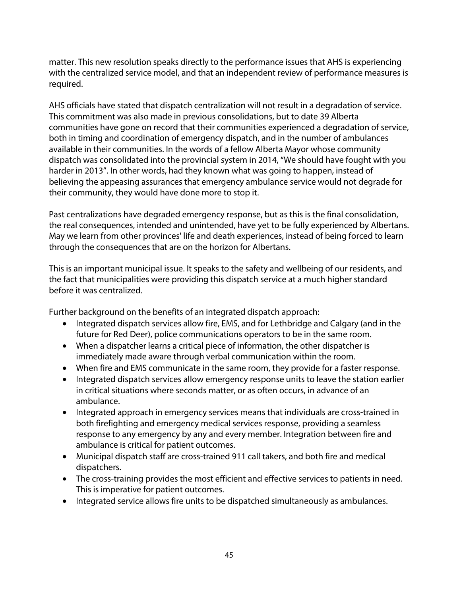matter. This new resolution speaks directly to the performance issues that AHS is experiencing with the centralized service model, and that an independent review of performance measures is required.

AHS officials have stated that dispatch centralization will not result in a degradation of service. This commitment was also made in previous consolidations, but to date 39 Alberta communities have gone on record that their communities experienced a degradation of service, both in timing and coordination of emergency dispatch, and in the number of ambulances available in their communities. In the words of a fellow Alberta Mayor whose community dispatch was consolidated into the provincial system in 2014, "We should have fought with you harder in 2013". In other words, had they known what was going to happen, instead of believing the appeasing assurances that emergency ambulance service would not degrade for their community, they would have done more to stop it.

Past centralizations have degraded emergency response, but as this is the final consolidation, the real consequences, intended and unintended, have yet to be fully experienced by Albertans. May we learn from other provinces' life and death experiences, instead of being forced to learn through the consequences that are on the horizon for Albertans.

This is an important municipal issue. It speaks to the safety and wellbeing of our residents, and the fact that municipalities were providing this dispatch service at a much higher standard before it was centralized.

Further background on the benefits of an integrated dispatch approach:

- Integrated dispatch services allow fire, EMS, and for Lethbridge and Calgary (and in the future for Red Deer), police communications operators to be in the same room.
- When a dispatcher learns a critical piece of information, the other dispatcher is immediately made aware through verbal communication within the room.
- When fire and EMS communicate in the same room, they provide for a faster response.
- Integrated dispatch services allow emergency response units to leave the station earlier in critical situations where seconds matter, or as often occurs, in advance of an ambulance.
- Integrated approach in emergency services means that individuals are cross-trained in both firefighting and emergency medical services response, providing a seamless response to any emergency by any and every member. Integration between fire and ambulance is critical for patient outcomes.
- Municipal dispatch staff are cross-trained 911 call takers, and both fire and medical dispatchers.
- The cross-training provides the most efficient and effective services to patients in need. This is imperative for patient outcomes.
- Integrated service allows fire units to be dispatched simultaneously as ambulances.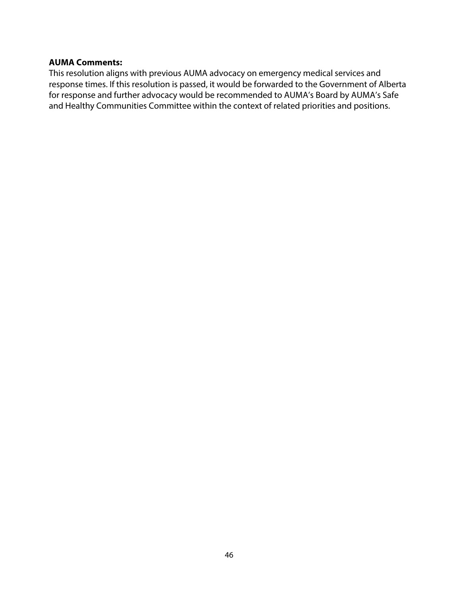#### **AUMA Comments:**

This resolution aligns with previous AUMA advocacy on emergency medical services and response times. If this resolution is passed, it would be forwarded to the Government of Alberta for response and further advocacy would be recommended to AUMA's Board by AUMA's Safe and Healthy Communities Committee within the context of related priorities and positions.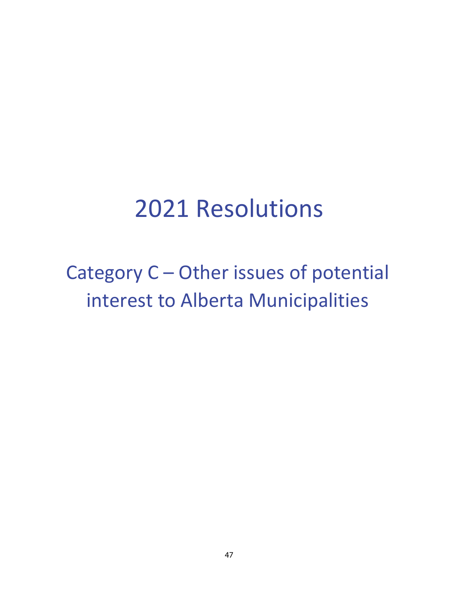## 2021 Resolutions

Category C – Other issues of potential interest to Alberta Municipalities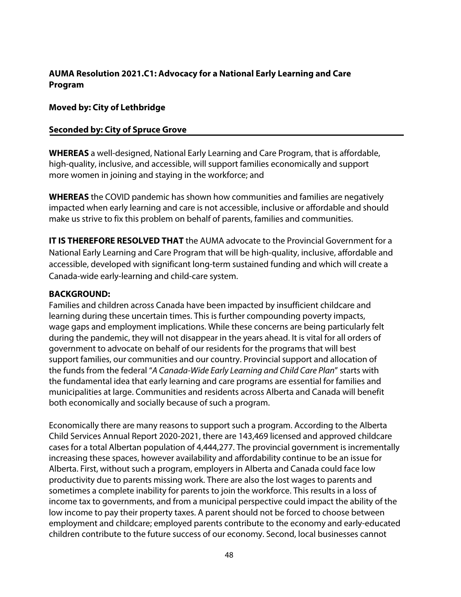#### **AUMA Resolution 2021.C1: Advocacy for a National Early Learning and Care Program**

#### **Moved by: City of Lethbridge**

#### **Seconded by: City of Spruce Grove**

**WHEREAS** a well-designed, National Early Learning and Care Program, that is affordable, high-quality, inclusive, and accessible, will support families economically and support more women in joining and staying in the workforce; and

**WHEREAS** the COVID pandemic has shown how communities and families are negatively impacted when early learning and care is not accessible, inclusive or affordable and should make us strive to fix this problem on behalf of parents, families and communities.

**IT IS THEREFORE RESOLVED THAT** the AUMA advocate to the Provincial Government for a National Early Learning and Care Program that will be high-quality, inclusive, affordable and accessible, developed with significant long-term sustained funding and which will create a Canada-wide early-learning and child-care system.

#### **BACKGROUND:**

Families and children across Canada have been impacted by insufficient childcare and learning during these uncertain times. This is further compounding poverty impacts, wage gaps and employment implications. While these concerns are being particularly felt during the pandemic, they will not disappear in the years ahead. It is vital for all orders of government to advocate on behalf of our residents for the programs that will best support families, our communities and our country. Provincial support and allocation of the funds from the federal "A Canada-Wide Early Learning and Child Care Plan" starts with the fundamental idea that early learning and care programs are essential for families and municipalities at large. Communities and residents across Alberta and Canada will benefit both economically and socially because of such a program.

Economically there are many reasons to support such a program. According to the Alberta Child Services Annual Report 2020-2021, there are 143,469 licensed and approved childcare cases for a total Albertan population of 4,444,277. The provincial government is incrementally increasing these spaces, however availability and affordability continue to be an issue for Alberta. First, without such a program, employers in Alberta and Canada could face low productivity due to parents missing work. There are also the lost wages to parents and sometimes a complete inability for parents to join the workforce. This results in a loss of income tax to governments, and from a municipal perspective could impact the ability of the low income to pay their property taxes. A parent should not be forced to choose between employment and childcare; employed parents contribute to the economy and early-educated children contribute to the future success of our economy. Second, local businesses cannot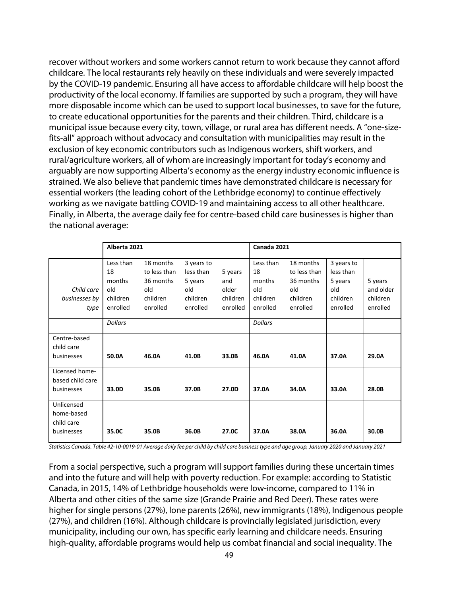recover without workers and some workers cannot return to work because they cannot afford childcare. The local restaurants rely heavily on these individuals and were severely impacted by the COVID-19 pandemic. Ensuring all have access to affordable childcare will help boost the productivity of the local economy. If families are supported by such a program, they will have more disposable income which can be used to support local businesses, to save for the future, to create educational opportunities for the parents and their children. Third, childcare is a municipal issue because every city, town, village, or rural area has different needs. A "one-sizefits-all" approach without advocacy and consultation with municipalities may result in the exclusion of key economic contributors such as Indigenous workers, shift workers, and rural/agriculture workers, all of whom are increasingly important for today's economy and arguably are now supporting Alberta's economy as the energy industry economic influence is strained. We also believe that pandemic times have demonstrated childcare is necessary for essential workers (the leading cohort of the Lethbridge economy) to continue effectively working as we navigate battling COVID-19 and maintaining access to all other healthcare. Finally, in Alberta, the average daily fee for centre-based child care businesses is higher than the national average:

|                                                      | Alberta 2021                                             |                                                                       |                                                                   | Canada 2021                                     |                                                          |                                                                       |                                                                   |                                              |
|------------------------------------------------------|----------------------------------------------------------|-----------------------------------------------------------------------|-------------------------------------------------------------------|-------------------------------------------------|----------------------------------------------------------|-----------------------------------------------------------------------|-------------------------------------------------------------------|----------------------------------------------|
| Child care<br>businesses by<br>type                  | Less than<br>18<br>months<br>old<br>children<br>enrolled | 18 months<br>to less than<br>36 months<br>old<br>children<br>enrolled | 3 years to<br>less than<br>5 years<br>old<br>children<br>enrolled | 5 years<br>and<br>older<br>children<br>enrolled | Less than<br>18<br>months<br>old<br>children<br>enrolled | 18 months<br>to less than<br>36 months<br>old<br>children<br>enrolled | 3 years to<br>less than<br>5 years<br>old<br>children<br>enrolled | 5 years<br>and older<br>children<br>enrolled |
|                                                      | <b>Dollars</b>                                           |                                                                       |                                                                   |                                                 | <b>Dollars</b>                                           |                                                                       |                                                                   |                                              |
| Centre-based<br>child care<br>businesses             | 50.0A                                                    | 46.0A                                                                 | 41.0B                                                             | 33.0B                                           | 46.0A                                                    | 41.0A                                                                 | 37.0A                                                             | 29.0A                                        |
| Licensed home-<br>based child care<br>businesses     | 33.0D                                                    | 35.0B                                                                 | 37.0B                                                             | 27.0D                                           | 37.0A                                                    | 34.0A                                                                 | 33.0A                                                             | 28.0B                                        |
| Unlicensed<br>home-based<br>child care<br>businesses | 35.0C                                                    | 35.0B                                                                 | 36.0B                                                             | 27.0C                                           | 37.0A                                                    | 38.0A                                                                 | 36.0A                                                             | 30.0B                                        |

Statistics Canada. Table 42-10-0019-01 Average daily fee per child by child care business type and age group, January 2020 and January 2021

From a social perspective, such a program will support families during these uncertain times and into the future and will help with poverty reduction. For example: according to Statistic Canada, in 2015, 14% of Lethbridge households were low-income, compared to 11% in Alberta and other cities of the same size (Grande Prairie and Red Deer). These rates were higher for single persons (27%), lone parents (26%), new immigrants (18%), Indigenous people (27%), and children (16%). Although childcare is provincially legislated jurisdiction, every municipality, including our own, has specific early learning and childcare needs. Ensuring high-quality, affordable programs would help us combat financial and social inequality. The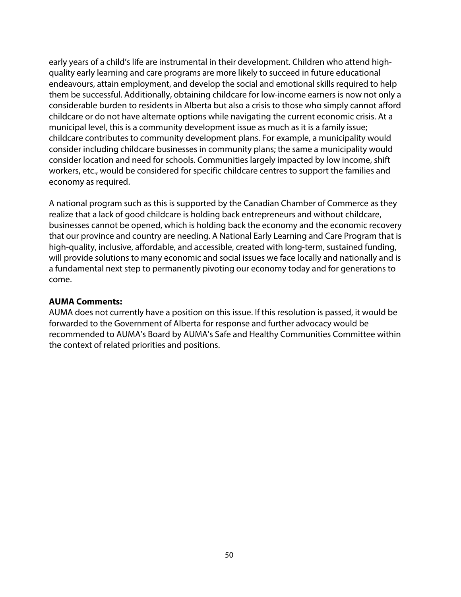early years of a child's life are instrumental in their development. Children who attend highquality early learning and care programs are more likely to succeed in future educational endeavours, attain employment, and develop the social and emotional skills required to help them be successful. Additionally, obtaining childcare for low-income earners is now not only a considerable burden to residents in Alberta but also a crisis to those who simply cannot afford childcare or do not have alternate options while navigating the current economic crisis. At a municipal level, this is a community development issue as much as it is a family issue; childcare contributes to community development plans. For example, a municipality would consider including childcare businesses in community plans; the same a municipality would consider location and need for schools. Communities largely impacted by low income, shift workers, etc., would be considered for specific childcare centres to support the families and economy as required.

A national program such as this is supported by the Canadian Chamber of Commerce as they realize that a lack of good childcare is holding back entrepreneurs and without childcare, businesses cannot be opened, which is holding back the economy and the economic recovery that our province and country are needing. A National Early Learning and Care Program that is high-quality, inclusive, affordable, and accessible, created with long-term, sustained funding, will provide solutions to many economic and social issues we face locally and nationally and is a fundamental next step to permanently pivoting our economy today and for generations to come.

#### **AUMA Comments:**

AUMA does not currently have a position on this issue. If this resolution is passed, it would be forwarded to the Government of Alberta for response and further advocacy would be recommended to AUMA's Board by AUMA's Safe and Healthy Communities Committee within the context of related priorities and positions.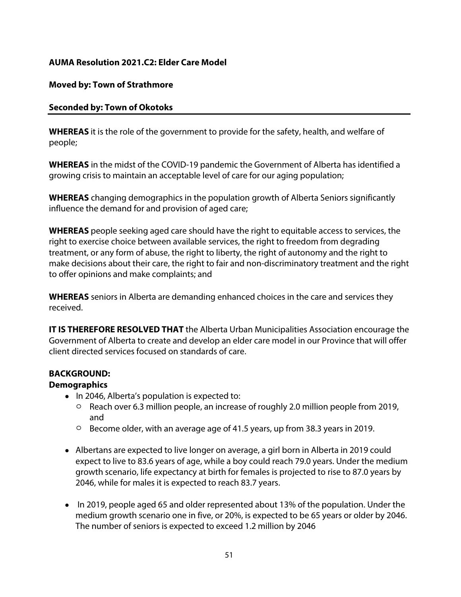#### **AUMA Resolution 2021.C2: Elder Care Model**

#### **Moved by: Town of Strathmore**

#### **Seconded by: Town of Okotoks**

**WHEREAS** it is the role of the government to provide for the safety, health, and welfare of people;

**WHEREAS** in the midst of the COVID-19 pandemic the Government of Alberta has identified a growing crisis to maintain an acceptable level of care for our aging population;

**WHEREAS** changing demographics in the population growth of Alberta Seniors significantly influence the demand for and provision of aged care;

**WHEREAS** people seeking aged care should have the right to equitable access to services, the right to exercise choice between available services, the right to freedom from degrading treatment, or any form of abuse, the right to liberty, the right of autonomy and the right to make decisions about their care, the right to fair and non-discriminatory treatment and the right to offer opinions and make complaints; and

**WHEREAS** seniors in Alberta are demanding enhanced choices in the care and services they received.

**IT IS THEREFORE RESOLVED THAT** the Alberta Urban Municipalities Association encourage the Government of Alberta to create and develop an elder care model in our Province that will offer client directed services focused on standards of care.

#### **BACKGROUND:**

#### **Demographics**

- In 2046, Alberta's population is expected to:
	- o Reach over 6.3 million people, an increase of roughly 2.0 million people from 2019, and
	- o Become older, with an average age of 41.5 years, up from 38.3 years in 2019.
- Albertans are expected to live longer on average, a girl born in Alberta in 2019 could expect to live to 83.6 years of age, while a boy could reach 79.0 years. Under the medium growth scenario, life expectancy at birth for females is projected to rise to 87.0 years by 2046, while for males it is expected to reach 83.7 years.
- In 2019, people aged 65 and older represented about 13% of the population. Under the medium growth scenario one in five, or 20%, is expected to be 65 years or older by 2046. The number of seniors is expected to exceed 1.2 million by 2046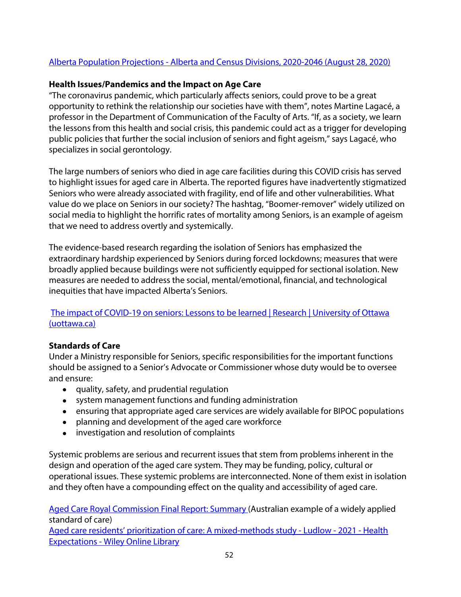#### Alberta Population Projections - Alberta and Census Divisions, 2020-2046 (August 28, 2020)

#### **Health Issues/Pandemics and the Impact on Age Care**

"The coronavirus pandemic, which particularly affects seniors, could prove to be a great opportunity to rethink the relationship our societies have with them", notes Martine Lagacé, a professor in the Department of Communication of the Faculty of Arts. "If, as a society, we learn the lessons from this health and social crisis, this pandemic could act as a trigger for developing public policies that further the social inclusion of seniors and fight ageism," says Lagacé, who specializes in social gerontology.

The large numbers of seniors who died in age care facilities during this COVID crisis has served to highlight issues for aged care in Alberta. The reported figures have inadvertently stigmatized Seniors who were already associated with fragility, end of life and other vulnerabilities. What value do we place on Seniors in our society? The hashtag, "Boomer-remover" widely utilized on social media to highlight the horrific rates of mortality among Seniors, is an example of ageism that we need to address overtly and systemically.

The evidence-based research regarding the isolation of Seniors has emphasized the extraordinary hardship experienced by Seniors during forced lockdowns; measures that were broadly applied because buildings were not sufficiently equipped for sectional isolation. New measures are needed to address the social, mental/emotional, financial, and technological inequities that have impacted Alberta's Seniors.

#### The impact of COVID-19 on seniors: Lessons to be learned | Research | University of Ottawa (uottawa.ca)

#### **Standards of Care**

Under a Ministry responsible for Seniors, specific responsibilities for the important functions should be assigned to a Senior's Advocate or Commissioner whose duty would be to oversee and ensure:

- quality, safety, and prudential regulation
- system management functions and funding administration
- ensuring that appropriate aged care services are widely available for BIPOC populations
- planning and development of the aged care workforce
- investigation and resolution of complaints

Systemic problems are serious and recurrent issues that stem from problems inherent in the design and operation of the aged care system. They may be funding, policy, cultural or operational issues. These systemic problems are interconnected. None of them exist in isolation and they often have a compounding effect on the quality and accessibility of aged care.

Aged Care Royal Commission Final Report: Summary (Australian example of a widely applied standard of care)

Aged care residents' prioritization of care: A mixed-methods study - Ludlow - 2021 - Health Expectations - Wiley Online Library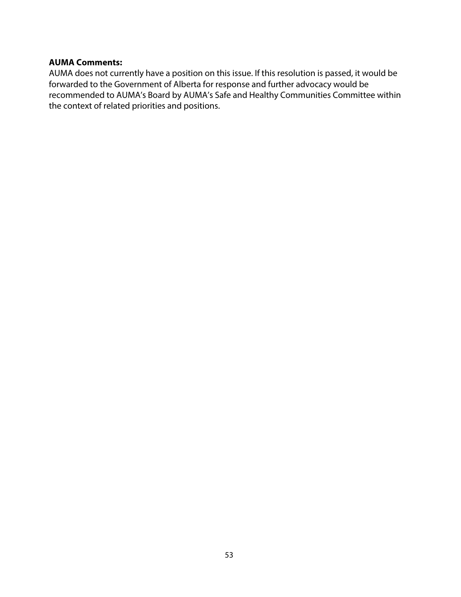#### **AUMA Comments:**

AUMA does not currently have a position on this issue. If this resolution is passed, it would be forwarded to the Government of Alberta for response and further advocacy would be recommended to AUMA's Board by AUMA's Safe and Healthy Communities Committee within the context of related priorities and positions.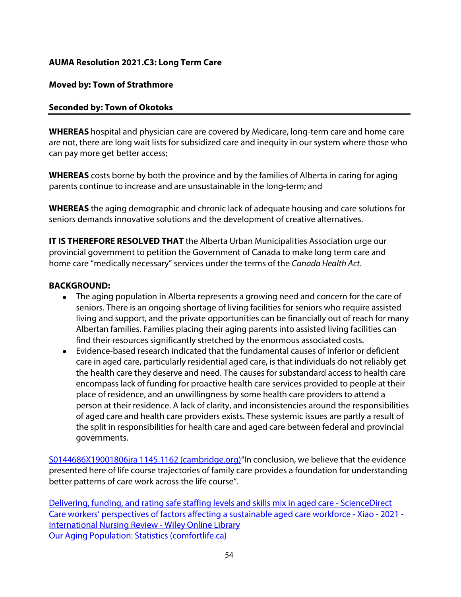#### **AUMA Resolution 2021.C3: Long Term Care**

#### **Moved by: Town of Strathmore**

#### **Seconded by: Town of Okotoks**

**WHEREAS** hospital and physician care are covered by Medicare, long-term care and home care are not, there are long wait lists for subsidized care and inequity in our system where those who can pay more get better access;

**WHEREAS** costs borne by both the province and by the families of Alberta in caring for aging parents continue to increase and are unsustainable in the long-term; and

**WHEREAS** the aging demographic and chronic lack of adequate housing and care solutions for seniors demands innovative solutions and the development of creative alternatives.

**IT IS THEREFORE RESOLVED THAT** the Alberta Urban Municipalities Association urge our provincial government to petition the Government of Canada to make long term care and home care "medically necessary" services under the terms of the Canada Health Act.

#### **BACKGROUND:**

- The aging population in Alberta represents a growing need and concern for the care of seniors. There is an ongoing shortage of living facilities for seniors who require assisted living and support, and the private opportunities can be financially out of reach for many Albertan families. Families placing their aging parents into assisted living facilities can find their resources significantly stretched by the enormous associated costs.
- Evidence-based research indicated that the fundamental causes of inferior or deficient care in aged care, particularly residential aged care, is that individuals do not reliably get the health care they deserve and need. The causes for substandard access to health care encompass lack of funding for proactive health care services provided to people at their place of residence, and an unwillingness by some health care providers to attend a person at their residence. A lack of clarity, and inconsistencies around the responsibilities of aged care and health care providers exists. These systemic issues are partly a result of the split in responsibilities for health care and aged care between federal and provincial governments.

S0144686X19001806jra 1145.1162 (cambridge.org)"In conclusion, we believe that the evidence presented here of life course trajectories of family care provides a foundation for understanding better patterns of care work across the life course".

Delivering, funding, and rating safe staffing levels and skills mix in aged care - ScienceDirect Care workers' perspectives of factors affecting a sustainable aged care workforce - Xiao - 2021 - International Nursing Review - Wiley Online Library Our Aging Population: Statistics (comfortlife.ca)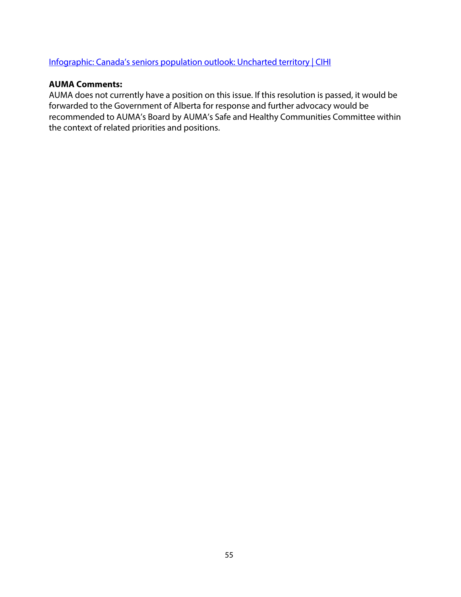#### Infographic: Canada's seniors population outlook: Uncharted territory | CIHI

#### **AUMA Comments:**

AUMA does not currently have a position on this issue. If this resolution is passed, it would be forwarded to the Government of Alberta for response and further advocacy would be recommended to AUMA's Board by AUMA's Safe and Healthy Communities Committee within the context of related priorities and positions.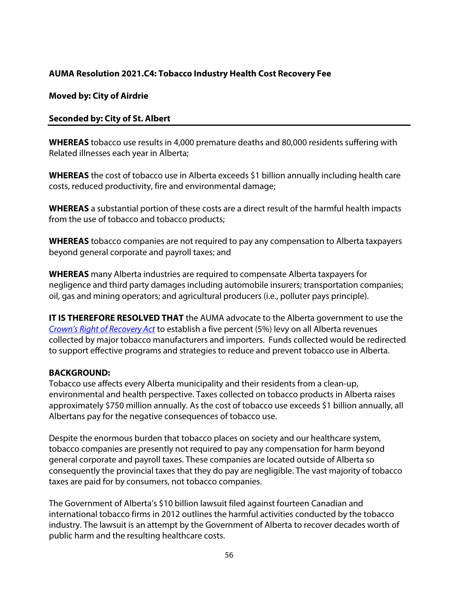#### **AUMA Resolution 2021.C4: Tobacco Industry Health Cost Recovery Fee**

#### **Moved by: City of Airdrie**

#### **Seconded by: City of St. Albert**

**WHEREAS** tobacco use results in 4,000 premature deaths and 80,000 residents suffering with Related illnesses each year in Alberta;

**WHEREAS** the cost of tobacco use in Alberta exceeds \$1 billion annually including health care costs, reduced productivity, fire and environmental damage;

**WHEREAS** a substantial portion of these costs are a direct result of the harmful health impacts from the use of tobacco and tobacco products;

**WHEREAS** tobacco companies are not required to pay any compensation to Alberta taxpayers beyond general corporate and payroll taxes; and

**WHEREAS** many Alberta industries are required to compensate Alberta taxpayers for negligence and third party damages including automobile insurers; transportation companies; oil, gas and mining operators; and agricultural producers (i.e., polluter pays principle).

**IT IS THEREFORE RESOLVED THAT** the AUMA advocate to the Alberta government to use the Crown's Right of Recovery Act to establish a five percent (5%) levy on all Alberta revenues collected by major tobacco manufacturers and importers. Funds collected would be redirected to support effective programs and strategies to reduce and prevent tobacco use in Alberta.

#### **BACKGROUND:**

Tobacco use affects every Alberta municipality and their residents from a clean-up, environmental and health perspective. Taxes collected on tobacco products in Alberta raises approximately \$750 million annually. As the cost of tobacco use exceeds \$1 billion annually, all Albertans pay for the negative consequences of tobacco use.

Despite the enormous burden that tobacco places on society and our healthcare system, tobacco companies are presently not required to pay any compensation for harm beyond general corporate and payroll taxes. These companies are located outside of Alberta so consequently the provincial taxes that they do pay are negligible. The vast majority of tobacco taxes are paid for by consumers, not tobacco companies.

The Government of Alberta's \$10 billion lawsuit filed against fourteen Canadian and international tobacco firms in 2012 outlines the harmful activities conducted by the tobacco industry. The lawsuit is an attempt by the Government of Alberta to recover decades worth of public harm and the resulting healthcare costs.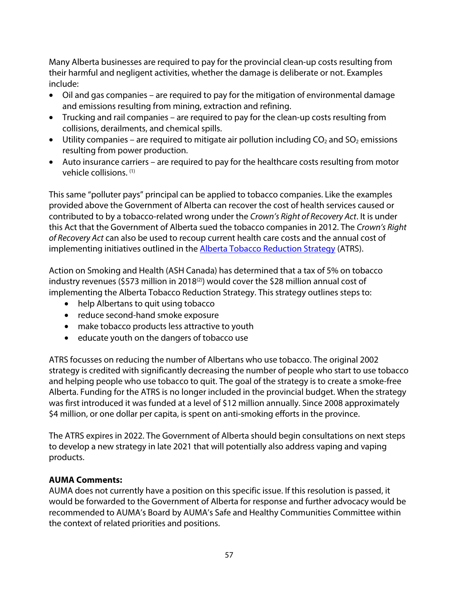Many Alberta businesses are required to pay for the provincial clean-up costs resulting from their harmful and negligent activities, whether the damage is deliberate or not. Examples include:

- Oil and gas companies are required to pay for the mitigation of environmental damage and emissions resulting from mining, extraction and refining.
- Trucking and rail companies are required to pay for the clean-up costs resulting from collisions, derailments, and chemical spills.
- Utility companies are required to mitigate air pollution including  $CO<sub>2</sub>$  and  $SO<sub>2</sub>$  emissions resulting from power production.
- Auto insurance carriers are required to pay for the healthcare costs resulting from motor vehicle collisions. (1)

This same "polluter pays" principal can be applied to tobacco companies. Like the examples provided above the Government of Alberta can recover the cost of health services caused or contributed to by a tobacco-related wrong under the Crown's Right of Recovery Act. It is under this Act that the Government of Alberta sued the tobacco companies in 2012. The Crown's Right of Recovery Act can also be used to recoup current health care costs and the annual cost of implementing initiatives outlined in the Alberta Tobacco Reduction Strategy (ATRS).

Action on Smoking and Health (ASH Canada) has determined that a tax of 5% on tobacco industry revenues (\$573 million in 2018<sup>(2)</sup>) would cover the \$28 million annual cost of implementing the Alberta Tobacco Reduction Strategy. This strategy outlines steps to:

- help Albertans to quit using tobacco
- reduce second-hand smoke exposure
- make tobacco products less attractive to youth
- educate youth on the dangers of tobacco use

ATRS focusses on reducing the number of Albertans who use tobacco. The original 2002 strategy is credited with significantly decreasing the number of people who start to use tobacco and helping people who use tobacco to quit. The goal of the strategy is to create a smoke-free Alberta. Funding for the ATRS is no longer included in the provincial budget. When the strategy was first introduced it was funded at a level of \$12 million annually. Since 2008 approximately \$4 million, or one dollar per capita, is spent on anti-smoking efforts in the province.

The ATRS expires in 2022. The Government of Alberta should begin consultations on next steps to develop a new strategy in late 2021 that will potentially also address vaping and vaping products.

#### **AUMA Comments:**

AUMA does not currently have a position on this specific issue. If this resolution is passed, it would be forwarded to the Government of Alberta for response and further advocacy would be recommended to AUMA's Board by AUMA's Safe and Healthy Communities Committee within the context of related priorities and positions.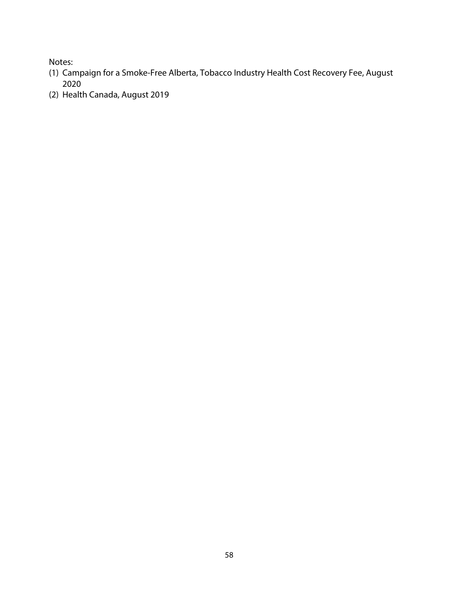Notes:

- (1) Campaign for a Smoke-Free Alberta, Tobacco Industry Health Cost Recovery Fee, August 2020
- (2) Health Canada, August 2019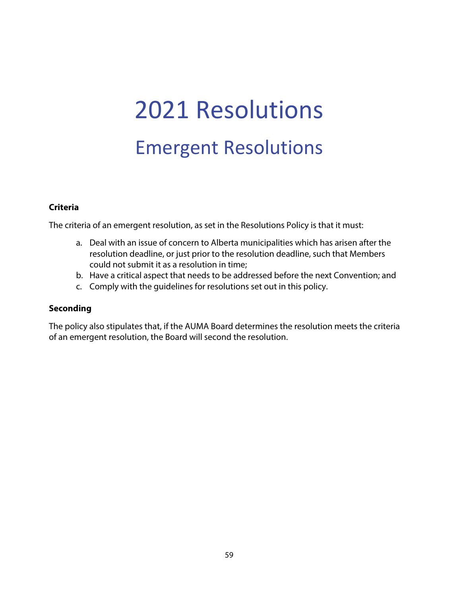# 2021 Resolutions Emergent Resolutions

#### **Criteria**

The criteria of an emergent resolution, as set in the Resolutions Policy is that it must:

- a. Deal with an issue of concern to Alberta municipalities which has arisen after the resolution deadline, or just prior to the resolution deadline, such that Members could not submit it as a resolution in time;
- b. Have a critical aspect that needs to be addressed before the next Convention; and
- c. Comply with the guidelines for resolutions set out in this policy.

#### **Seconding**

The policy also stipulates that, if the AUMA Board determines the resolution meets the criteria of an emergent resolution, the Board will second the resolution.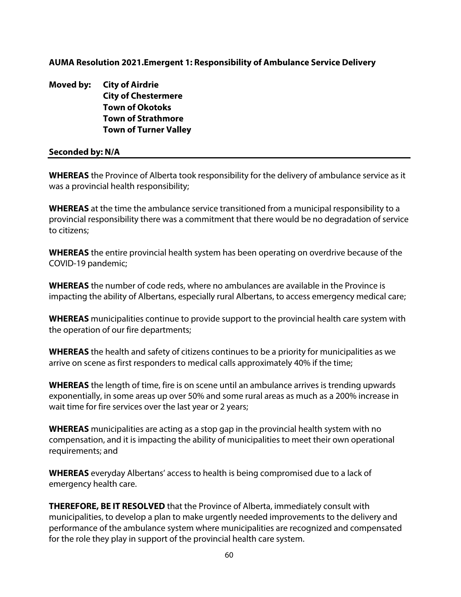#### **AUMA Resolution 2021.Emergent 1: Responsibility of Ambulance Service Delivery**

**Moved by: City of Airdrie City of Chestermere Town of Okotoks Town of Strathmore Town of Turner Valley** 

#### **Seconded by: N/A**

**WHEREAS** the Province of Alberta took responsibility for the delivery of ambulance service as it was a provincial health responsibility;

**WHEREAS** at the time the ambulance service transitioned from a municipal responsibility to a provincial responsibility there was a commitment that there would be no degradation of service to citizens;

**WHEREAS** the entire provincial health system has been operating on overdrive because of the COVID-19 pandemic;

**WHEREAS** the number of code reds, where no ambulances are available in the Province is impacting the ability of Albertans, especially rural Albertans, to access emergency medical care;

**WHEREAS** municipalities continue to provide support to the provincial health care system with the operation of our fire departments;

**WHEREAS** the health and safety of citizens continues to be a priority for municipalities as we arrive on scene as first responders to medical calls approximately 40% if the time;

**WHEREAS** the length of time, fire is on scene until an ambulance arrives is trending upwards exponentially, in some areas up over 50% and some rural areas as much as a 200% increase in wait time for fire services over the last year or 2 years;

**WHEREAS** municipalities are acting as a stop gap in the provincial health system with no compensation, and it is impacting the ability of municipalities to meet their own operational requirements; and

**WHEREAS** everyday Albertans' access to health is being compromised due to a lack of emergency health care.

**THEREFORE, BE IT RESOLVED** that the Province of Alberta, immediately consult with municipalities, to develop a plan to make urgently needed improvements to the delivery and performance of the ambulance system where municipalities are recognized and compensated for the role they play in support of the provincial health care system.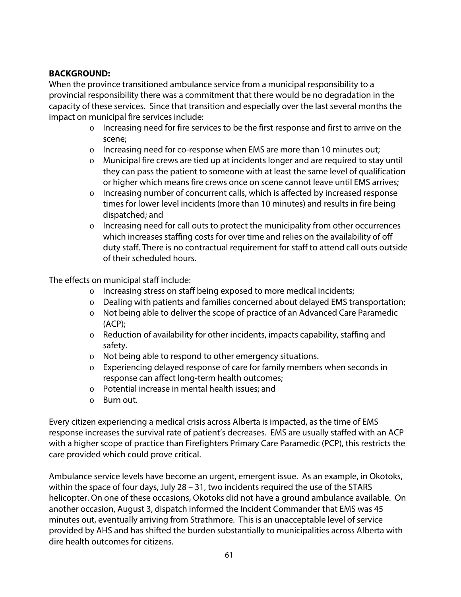#### **BACKGROUND:**

When the province transitioned ambulance service from a municipal responsibility to a provincial responsibility there was a commitment that there would be no degradation in the capacity of these services. Since that transition and especially over the last several months the impact on municipal fire services include:

- o Increasing need for fire services to be the first response and first to arrive on the scene;
- o Increasing need for co-response when EMS are more than 10 minutes out;
- o Municipal fire crews are tied up at incidents longer and are required to stay until they can pass the patient to someone with at least the same level of qualification or higher which means fire crews once on scene cannot leave until EMS arrives;
- o Increasing number of concurrent calls, which is affected by increased response times for lower level incidents (more than 10 minutes) and results in fire being dispatched; and
- o Increasing need for call outs to protect the municipality from other occurrences which increases staffing costs for over time and relies on the availability of off duty staff. There is no contractual requirement for staff to attend call outs outside of their scheduled hours.

The effects on municipal staff include:

- o Increasing stress on staff being exposed to more medical incidents;
- o Dealing with patients and families concerned about delayed EMS transportation;
- o Not being able to deliver the scope of practice of an Advanced Care Paramedic (ACP);
- o Reduction of availability for other incidents, impacts capability, staffing and safety.
- o Not being able to respond to other emergency situations.
- o Experiencing delayed response of care for family members when seconds in response can affect long-term health outcomes;
- o Potential increase in mental health issues; and
- o Burn out.

Every citizen experiencing a medical crisis across Alberta is impacted, as the time of EMS response increases the survival rate of patient's decreases. EMS are usually staffed with an ACP with a higher scope of practice than Firefighters Primary Care Paramedic (PCP), this restricts the care provided which could prove critical.

Ambulance service levels have become an urgent, emergent issue. As an example, in Okotoks, within the space of four days, July 28 – 31, two incidents required the use of the STARS helicopter. On one of these occasions, Okotoks did not have a ground ambulance available. On another occasion, August 3, dispatch informed the Incident Commander that EMS was 45 minutes out, eventually arriving from Strathmore. This is an unacceptable level of service provided by AHS and has shifted the burden substantially to municipalities across Alberta with dire health outcomes for citizens.